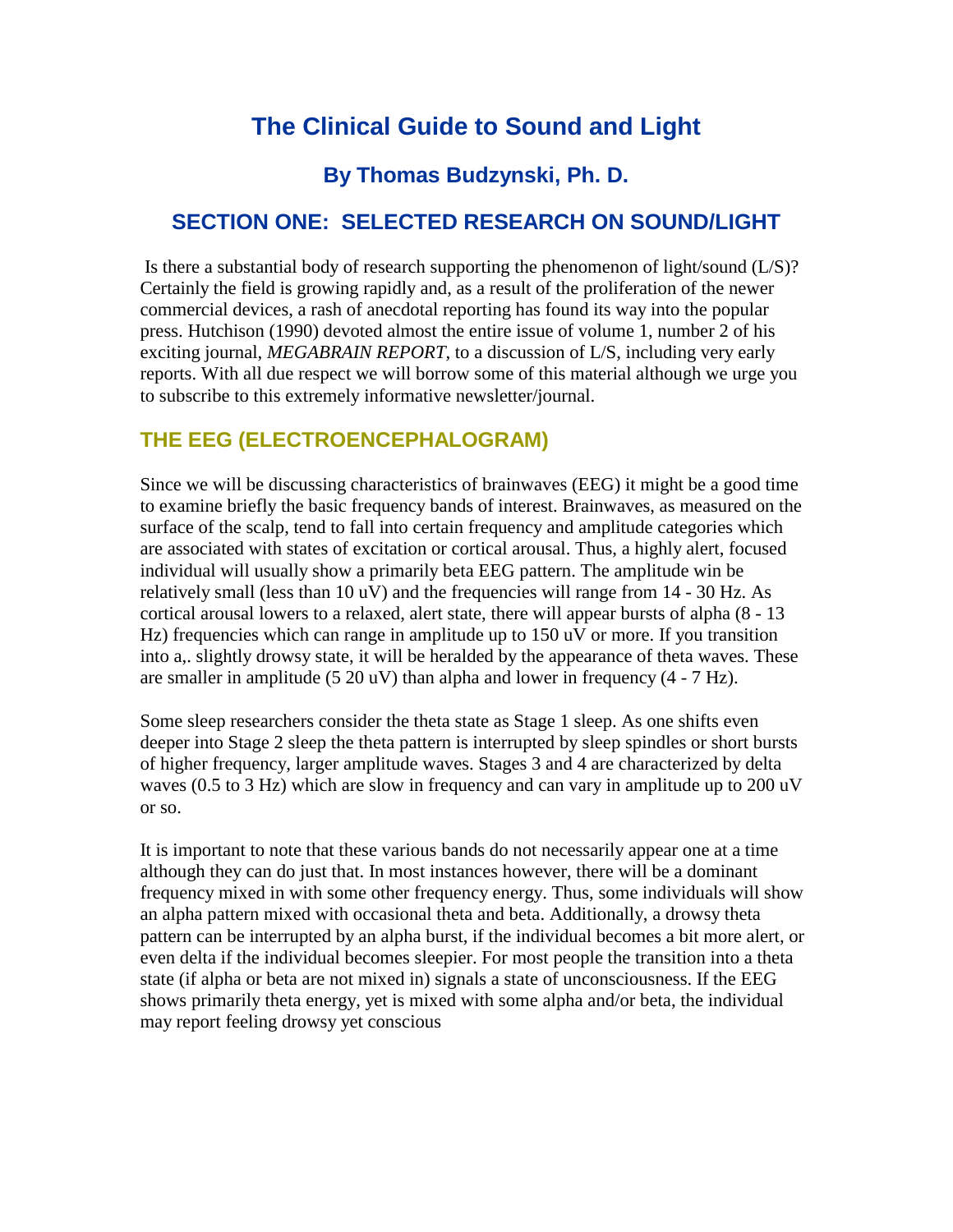# **The Clinical Guide to Sound and Light**

# **By Thomas Budzynski, Ph. D.**

## **SECTION ONE: SELECTED RESEARCH ON SOUND/LIGHT**

Is there a substantial body of research supporting the phenomenon of light/sound  $(L/S)$ ? Certainly the field is growing rapidly and, as a result of the proliferation of the newer commercial devices, a rash of anecdotal reporting has found its way into the popular press. Hutchison (1990) devoted almost the entire issue of volume 1, number 2 of his exciting journal, *MEGABRAIN REPORT,* to a discussion of L/S, including very early reports. With all due respect we will borrow some of this material although we urge you to subscribe to this extremely informative newsletter/journal.

## **THE EEG (ELECTROENCEPHALOGRAM)**

Since we will be discussing characteristics of brainwaves (EEG) it might be a good time to examine briefly the basic frequency bands of interest. Brainwaves, as measured on the surface of the scalp, tend to fall into certain frequency and amplitude categories which are associated with states of excitation or cortical arousal. Thus, a highly alert, focused individual will usually show a primarily beta EEG pattern. The amplitude win be relatively small (less than 10 uV) and the frequencies will range from 14 - 30 Hz. As cortical arousal lowers to a relaxed, alert state, there will appear bursts of alpha (8 - 13 Hz) frequencies which can range in amplitude up to 150 uV or more. If you transition into a,. slightly drowsy state, it will be heralded by the appearance of theta waves. These are smaller in amplitude (5 20 uV) than alpha and lower in frequency (4 - 7 Hz).

Some sleep researchers consider the theta state as Stage 1 sleep. As one shifts even deeper into Stage 2 sleep the theta pattern is interrupted by sleep spindles or short bursts of higher frequency, larger amplitude waves. Stages 3 and 4 are characterized by delta waves (0.5 to 3 Hz) which are slow in frequency and can vary in amplitude up to 200 uV or so.

It is important to note that these various bands do not necessarily appear one at a time although they can do just that. In most instances however, there will be a dominant frequency mixed in with some other frequency energy. Thus, some individuals will show an alpha pattern mixed with occasional theta and beta. Additionally, a drowsy theta pattern can be interrupted by an alpha burst, if the individual becomes a bit more alert, or even delta if the individual becomes sleepier. For most people the transition into a theta state (if alpha or beta are not mixed in) signals a state of unconsciousness. If the EEG shows primarily theta energy, yet is mixed with some alpha and/or beta, the individual may report feeling drowsy yet conscious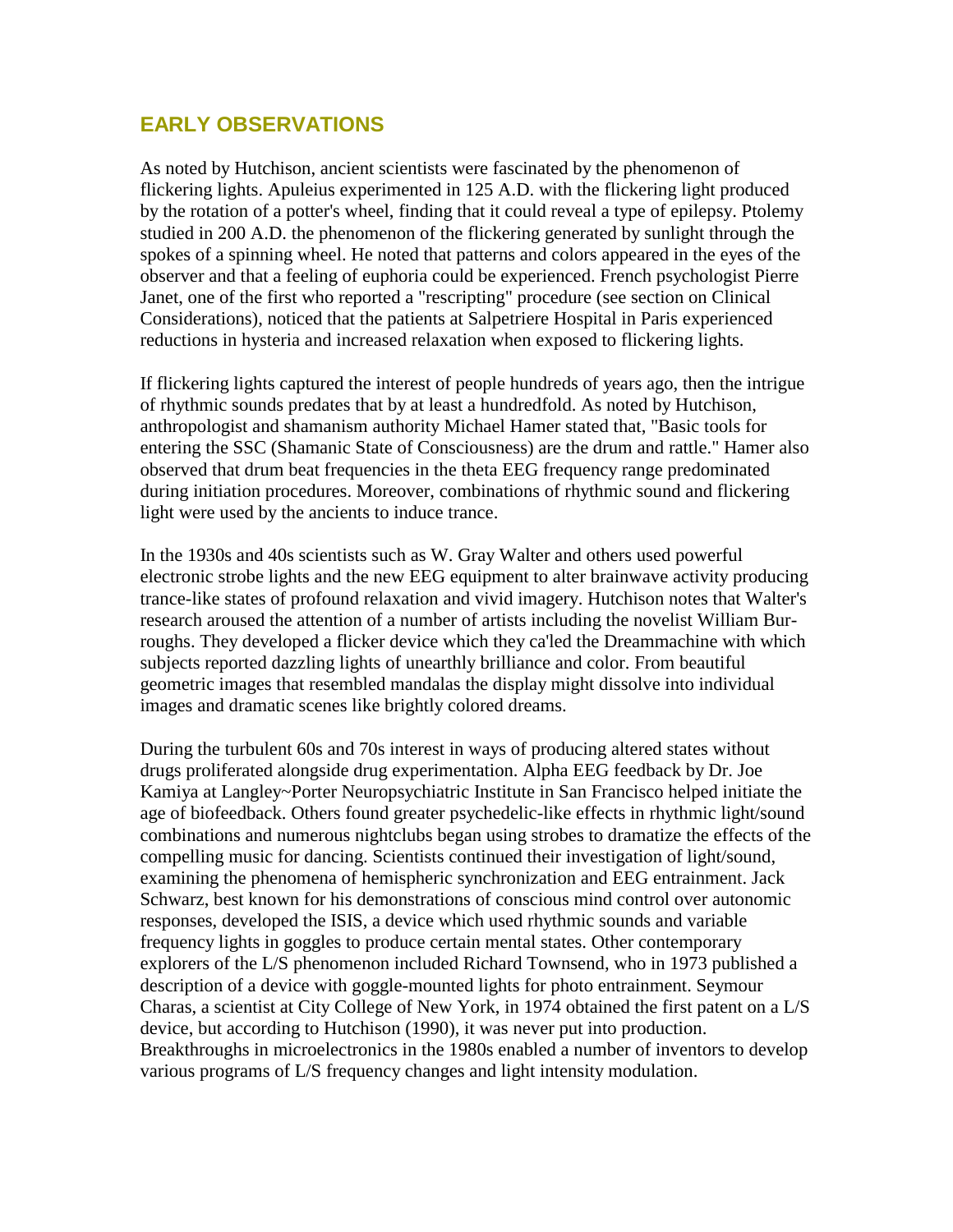#### **EARLY OBSERVATIONS**

As noted by Hutchison, ancient scientists were fascinated by the phenomenon of flickering lights. Apuleius experimented in 125 A.D. with the flickering light produced by the rotation of a potter's wheel, finding that it could reveal a type of epilepsy. Ptolemy studied in 200 A.D. the phenomenon of the flickering generated by sunlight through the spokes of a spinning wheel. He noted that patterns and colors appeared in the eyes of the observer and that a feeling of euphoria could be experienced. French psychologist Pierre Janet, one of the first who reported a "rescripting" procedure (see section on Clinical Considerations), noticed that the patients at Salpetriere Hospital in Paris experienced reductions in hysteria and increased relaxation when exposed to flickering lights.

If flickering lights captured the interest of people hundreds of years ago, then the intrigue of rhythmic sounds predates that by at least a hundredfold. As noted by Hutchison, anthropologist and shamanism authority Michael Hamer stated that, "Basic tools for entering the SSC (Shamanic State of Consciousness) are the drum and rattle." Hamer also observed that drum beat frequencies in the theta EEG frequency range predominated during initiation procedures. Moreover, combinations of rhythmic sound and flickering light were used by the ancients to induce trance.

In the 1930s and 40s scientists such as W. Gray Walter and others used powerful electronic strobe lights and the new EEG equipment to alter brainwave activity producing trance-like states of profound relaxation and vivid imagery. Hutchison notes that Walter's research aroused the attention of a number of artists including the novelist William Burroughs. They developed a flicker device which they ca'led the Dreammachine with which subjects reported dazzling lights of unearthly brilliance and color. From beautiful geometric images that resembled mandalas the display might dissolve into individual images and dramatic scenes like brightly colored dreams.

During the turbulent 60s and 70s interest in ways of producing altered states without drugs proliferated alongside drug experimentation. Alpha EEG feedback by Dr. Joe Kamiya at Langley~Porter Neuropsychiatric Institute in San Francisco helped initiate the age of biofeedback. Others found greater psychedelic-like effects in rhythmic light/sound combinations and numerous nightclubs began using strobes to dramatize the effects of the compelling music for dancing. Scientists continued their investigation of light/sound, examining the phenomena of hemispheric synchronization and EEG entrainment. Jack Schwarz, best known for his demonstrations of conscious mind control over autonomic responses, developed the ISIS, a device which used rhythmic sounds and variable frequency lights in goggles to produce certain mental states. Other contemporary explorers of the L/S phenomenon included Richard Townsend, who in 1973 published a description of a device with goggle-mounted lights for photo entrainment. Seymour Charas, a scientist at City College of New York, in 1974 obtained the first patent on a L/S device, but according to Hutchison (1990), it was never put into production. Breakthroughs in microelectronics in the 1980s enabled a number of inventors to develop various programs of L/S frequency changes and light intensity modulation.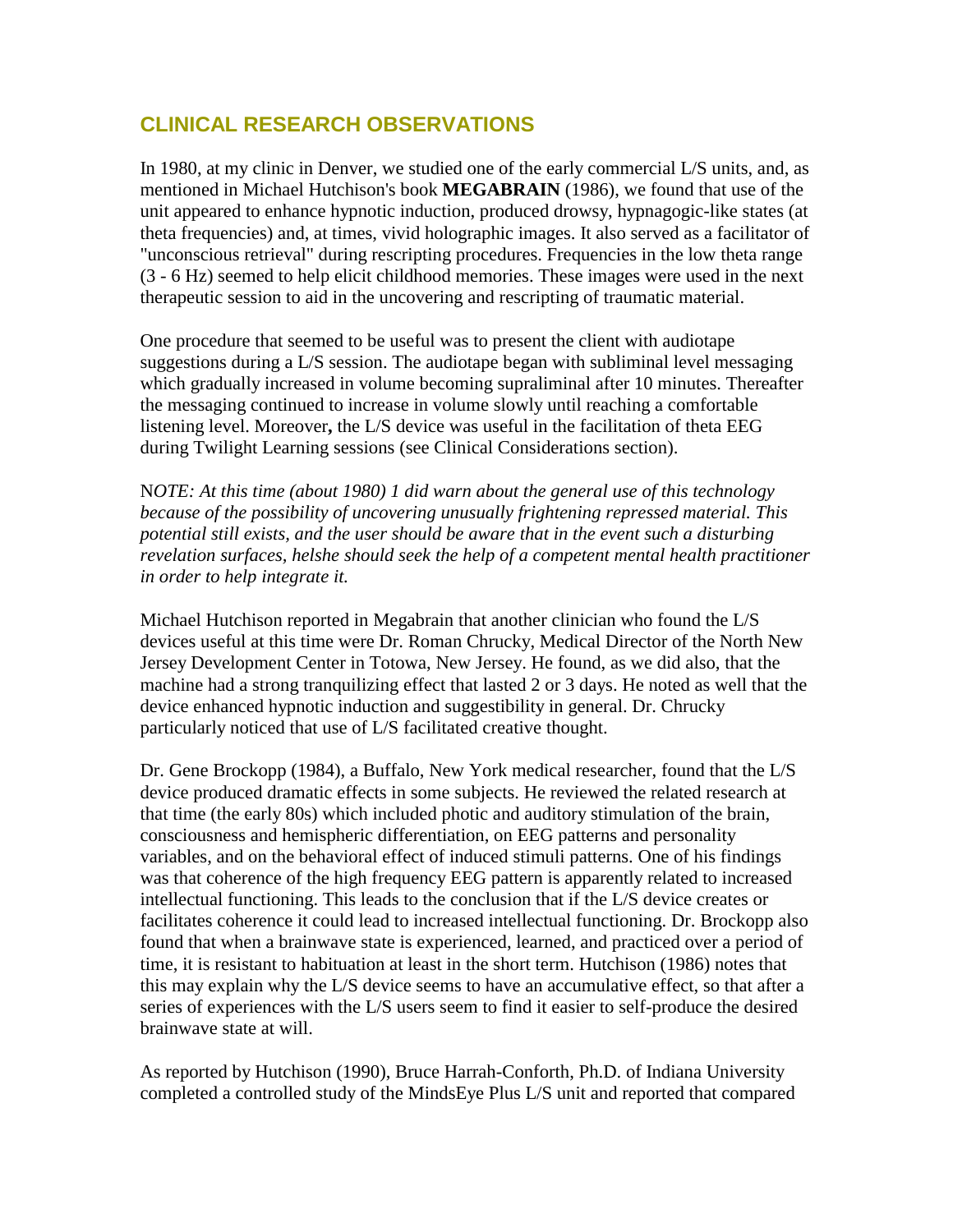## **CLINICAL RESEARCH OBSERVATIONS**

In 1980, at my clinic in Denver, we studied one of the early commercial L/S units, and, as mentioned in Michael Hutchison's book **MEGABRAIN** (1986), we found that use of the unit appeared to enhance hypnotic induction, produced drowsy, hypnagogic-like states (at theta frequencies) and, at times, vivid holographic images. It also served as a facilitator of "unconscious retrieval" during rescripting procedures. Frequencies in the low theta range (3 - 6 Hz) seemed to help elicit childhood memories. These images were used in the next therapeutic session to aid in the uncovering and rescripting of traumatic material.

One procedure that seemed to be useful was to present the client with audiotape suggestions during a L/S session. The audiotape began with subliminal level messaging which gradually increased in volume becoming supraliminal after 10 minutes. Thereafter the messaging continued to increase in volume slowly until reaching a comfortable listening level. Moreover**,** the L/S device was useful in the facilitation of theta EEG during Twilight Learning sessions (see Clinical Considerations section).

N*OTE: At this time (about 1980) 1 did warn about the general use of this technology because of the possibility of uncovering unusually frightening repressed material. This potential still exists, and the user should be aware that in the event such a disturbing revelation surfaces, helshe should seek the help of a competent mental health practitioner in order to help integrate it.* 

Michael Hutchison reported in Megabrain that another clinician who found the L/S devices useful at this time were Dr. Roman Chrucky, Medical Director of the North New Jersey Development Center in Totowa, New Jersey. He found, as we did also, that the machine had a strong tranquilizing effect that lasted 2 or 3 days. He noted as well that the device enhanced hypnotic induction and suggestibility in general. Dr. Chrucky particularly noticed that use of L/S facilitated creative thought.

Dr. Gene Brockopp (1984), a Buffalo, New York medical researcher, found that the L/S device produced dramatic effects in some subjects. He reviewed the related research at that time (the early 80s) which included photic and auditory stimulation of the brain, consciousness and hemispheric differentiation, on EEG patterns and personality variables, and on the behavioral effect of induced stimuli patterns. One of his findings was that coherence of the high frequency EEG pattern is apparently related to increased intellectual functioning. This leads to the conclusion that if the L/S device creates or facilitates coherence it could lead to increased intellectual functioning. Dr. Brockopp also found that when a brainwave state is experienced, learned, and practiced over a period of time, it is resistant to habituation at least in the short term. Hutchison (1986) notes that this may explain why the L/S device seems to have an accumulative effect, so that after a series of experiences with the L/S users seem to find it easier to self-produce the desired brainwave state at will.

As reported by Hutchison (1990), Bruce Harrah-Conforth, Ph.D. of Indiana University completed a controlled study of the MindsEye Plus L/S unit and reported that compared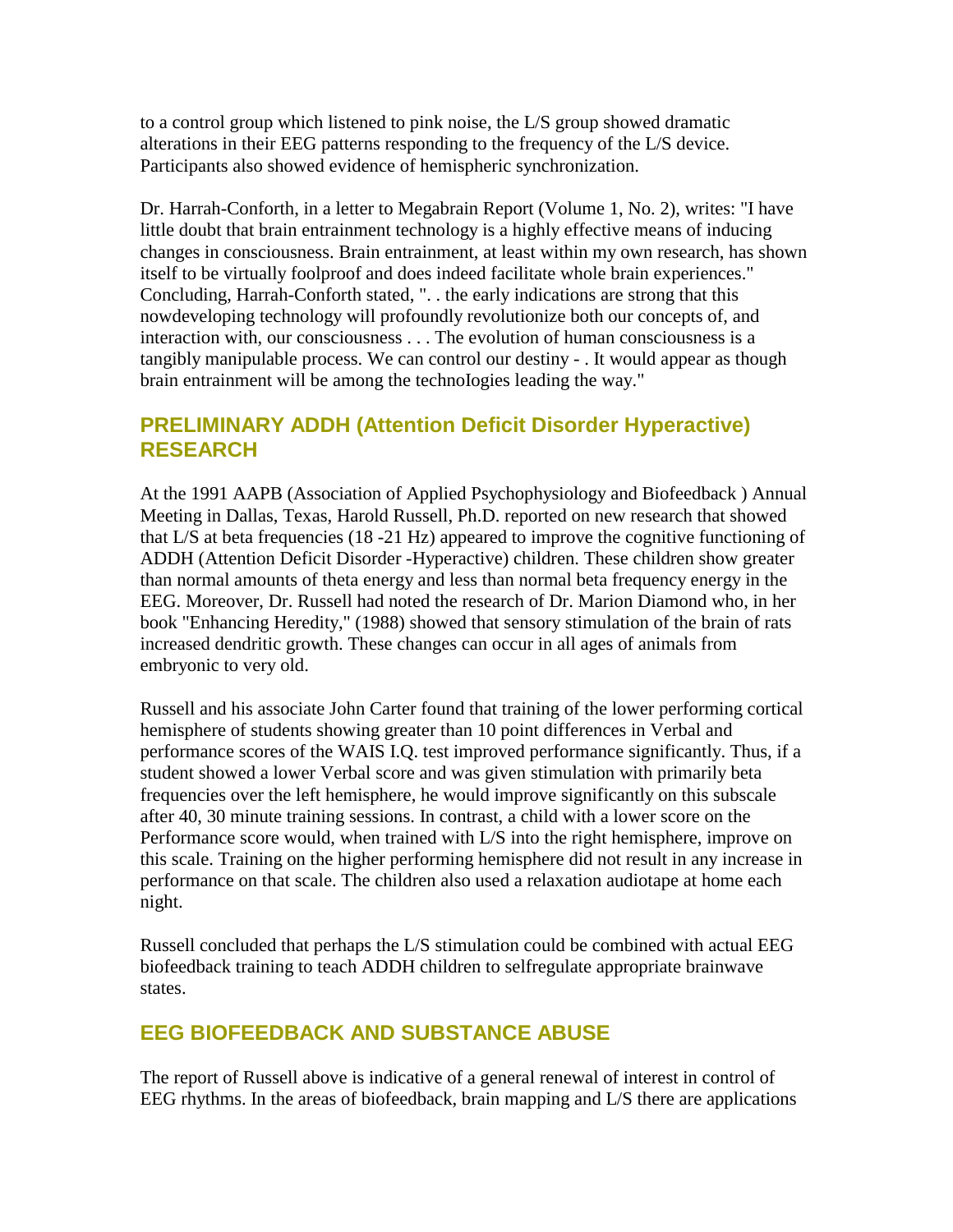to a control group which listened to pink noise, the L/S group showed dramatic alterations in their EEG patterns responding to the frequency of the L/S device. Participants also showed evidence of hemispheric synchronization.

Dr. Harrah-Conforth, in a letter to Megabrain Report (Volume 1, No. 2), writes: "I have little doubt that brain entrainment technology is a highly effective means of inducing changes in consciousness. Brain entrainment, at least within my own research, has shown itself to be virtually foolproof and does indeed facilitate whole brain experiences." Concluding, Harrah-Conforth stated, ". . the early indications are strong that this nowdeveloping technology will profoundly revolutionize both our concepts of, and interaction with, our consciousness . . . The evolution of human consciousness is a tangibly manipulable process. We can control our destiny - . It would appear as though brain entrainment will be among the technoIogies leading the way."

### **PRELIMINARY ADDH (Attention Deficit Disorder Hyperactive) RESEARCH**

At the 1991 AAPB (Association of Applied Psychophysiology and Biofeedback ) Annual Meeting in Dallas, Texas, Harold Russell, Ph.D. reported on new research that showed that L/S at beta frequencies (18 -21 Hz) appeared to improve the cognitive functioning of ADDH (Attention Deficit Disorder -Hyperactive) children. These children show greater than normal amounts of theta energy and less than normal beta frequency energy in the EEG. Moreover, Dr. Russell had noted the research of Dr. Marion Diamond who, in her book "Enhancing Heredity," (1988) showed that sensory stimulation of the brain of rats increased dendritic growth. These changes can occur in all ages of animals from embryonic to very old.

Russell and his associate John Carter found that training of the lower performing cortical hemisphere of students showing greater than 10 point differences in Verbal and performance scores of the WAIS I.Q. test improved performance significantly. Thus, if a student showed a lower Verbal score and was given stimulation with primarily beta frequencies over the left hemisphere, he would improve significantly on this subscale after 40, 30 minute training sessions. In contrast, a child with a lower score on the Performance score would, when trained with L/S into the right hemisphere, improve on this scale. Training on the higher performing hemisphere did not result in any increase in performance on that scale. The children also used a relaxation audiotape at home each night.

Russell concluded that perhaps the L/S stimulation could be combined with actual EEG biofeedback training to teach ADDH children to selfregulate appropriate brainwave states.

## **EEG BIOFEEDBACK AND SUBSTANCE ABUSE**

The report of Russell above is indicative of a general renewal of interest in control of EEG rhythms. In the areas of biofeedback, brain mapping and L/S there are applications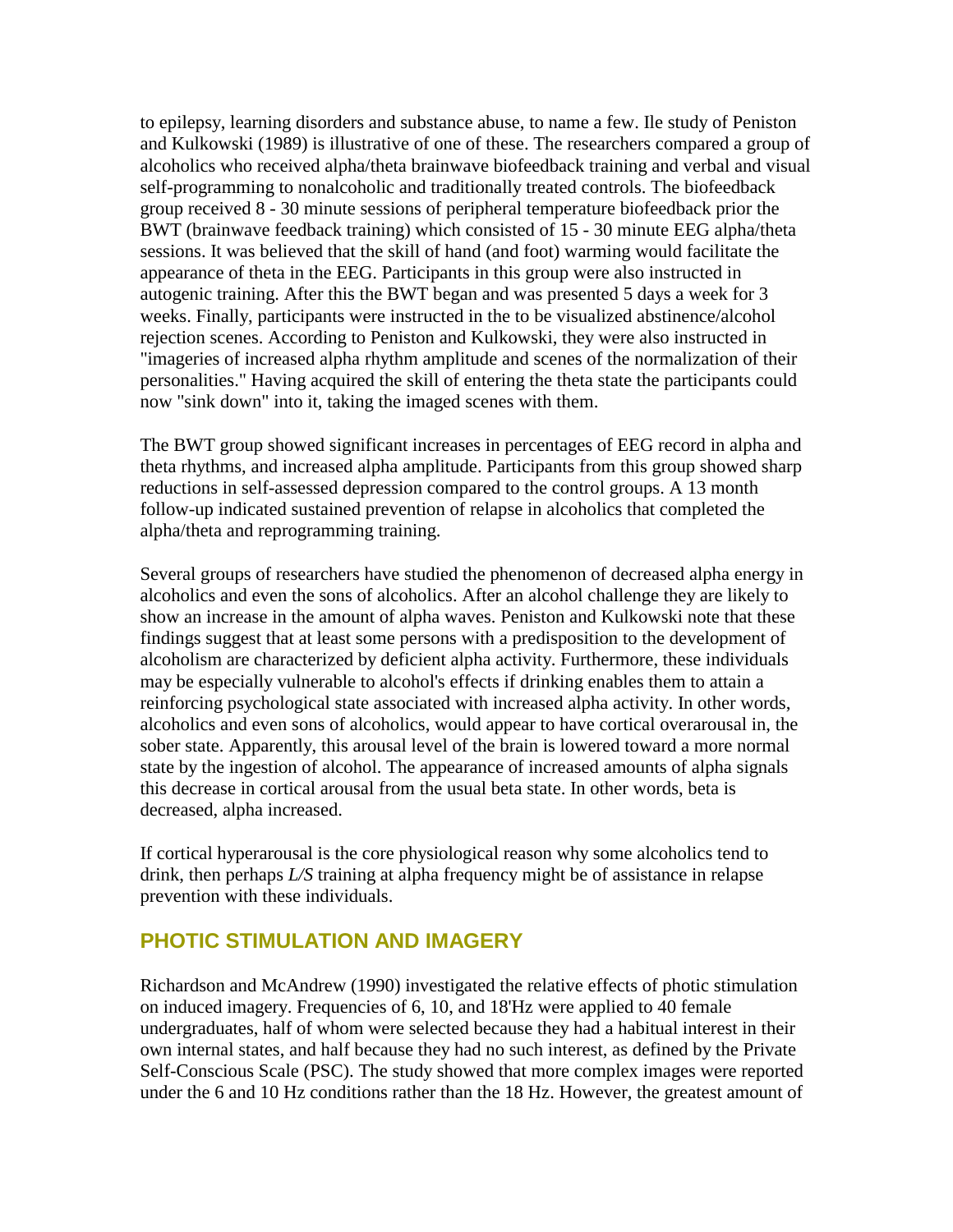to epilepsy, learning disorders and substance abuse, to name a few. Ile study of Peniston and Kulkowski (1989) is illustrative of one of these. The researchers compared a group of alcoholics who received alpha/theta brainwave biofeedback training and verbal and visual self-programming to nonalcoholic and traditionally treated controls. The biofeedback group received 8 - 30 minute sessions of peripheral temperature biofeedback prior the BWT (brainwave feedback training) which consisted of 15 - 30 minute EEG alpha/theta sessions. It was believed that the skill of hand (and foot) warming would facilitate the appearance of theta in the EEG. Participants in this group were also instructed in autogenic training. After this the BWT began and was presented 5 days a week for 3 weeks. Finally, participants were instructed in the to be visualized abstinence/alcohol rejection scenes. According to Peniston and Kulkowski, they were also instructed in "imageries of increased alpha rhythm amplitude and scenes of the normalization of their personalities." Having acquired the skill of entering the theta state the participants could now "sink down" into it, taking the imaged scenes with them.

The BWT group showed significant increases in percentages of EEG record in alpha and theta rhythms, and increased alpha amplitude. Participants from this group showed sharp reductions in self-assessed depression compared to the control groups. A 13 month follow-up indicated sustained prevention of relapse in alcoholics that completed the alpha/theta and reprogramming training.

Several groups of researchers have studied the phenomenon of decreased alpha energy in alcoholics and even the sons of alcoholics. After an alcohol challenge they are likely to show an increase in the amount of alpha waves. Peniston and Kulkowski note that these findings suggest that at least some persons with a predisposition to the development of alcoholism are characterized by deficient alpha activity. Furthermore, these individuals may be especially vulnerable to alcohol's effects if drinking enables them to attain a reinforcing psychological state associated with increased alpha activity. In other words, alcoholics and even sons of alcoholics, would appear to have cortical overarousal in, the sober state. Apparently, this arousal level of the brain is lowered toward a more normal state by the ingestion of alcohol. The appearance of increased amounts of alpha signals this decrease in cortical arousal from the usual beta state. In other words, beta is decreased, alpha increased.

If cortical hyperarousal is the core physiological reason why some alcoholics tend to drink, then perhaps *L/S* training at alpha frequency might be of assistance in relapse prevention with these individuals.

#### **PHOTIC STIMULATION AND IMAGERY**

Richardson and McAndrew (1990) investigated the relative effects of photic stimulation on induced imagery. Frequencies of 6, 10, and 18'Hz were applied to 40 female undergraduates, half of whom were selected because they had a habitual interest in their own internal states, and half because they had no such interest, as defined by the Private Self-Conscious Scale (PSC). The study showed that more complex images were reported under the 6 and 10 Hz conditions rather than the 18 Hz. However, the greatest amount of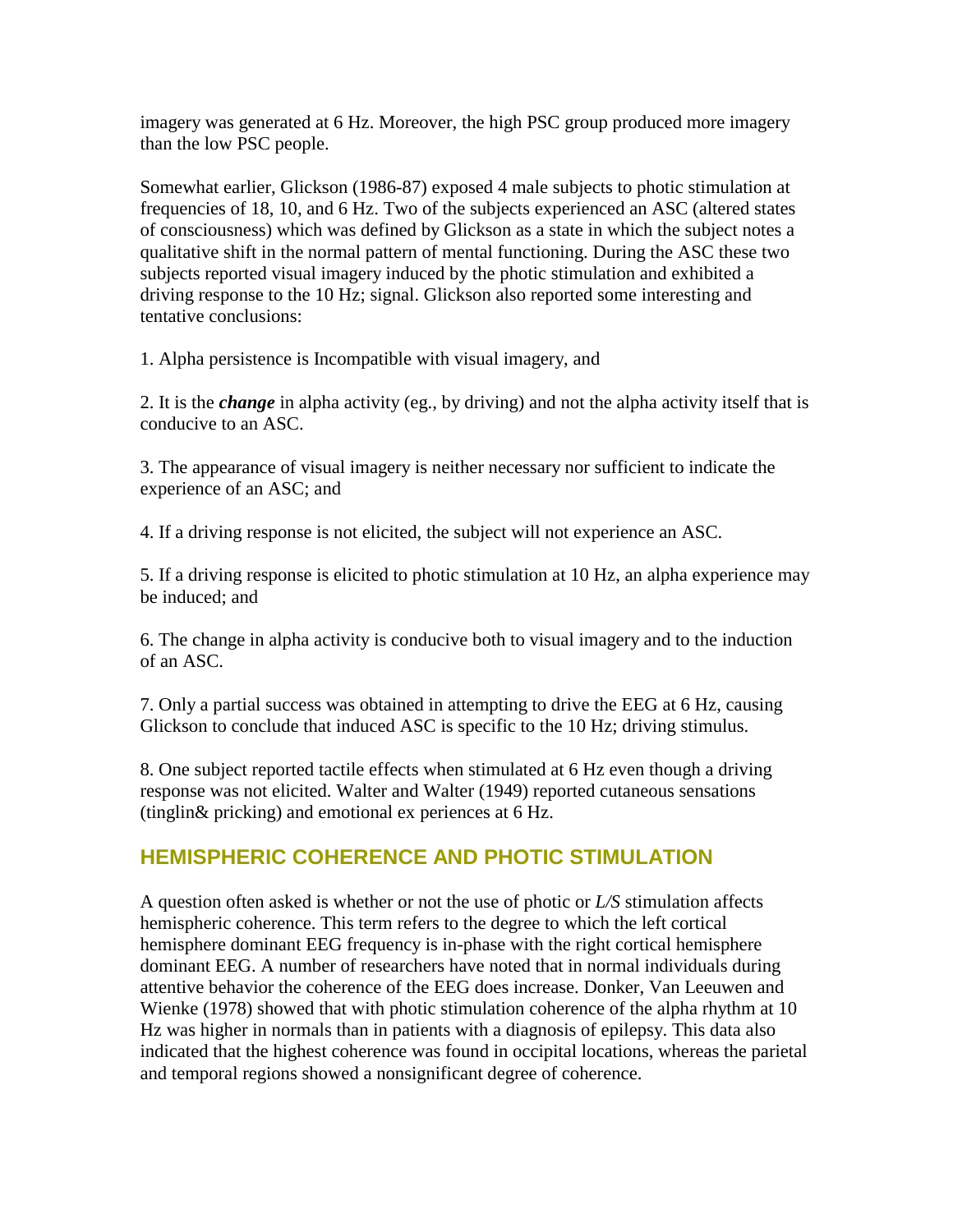imagery was generated at 6 Hz. Moreover, the high PSC group produced more imagery than the low PSC people.

Somewhat earlier, Glickson (1986-87) exposed 4 male subjects to photic stimulation at frequencies of 18, 10, and 6 Hz. Two of the subjects experienced an ASC (altered states of consciousness) which was defined by Glickson as a state in which the subject notes a qualitative shift in the normal pattern of mental functioning. During the ASC these two subjects reported visual imagery induced by the photic stimulation and exhibited a driving response to the 10 Hz; signal. Glickson also reported some interesting and tentative conclusions:

1. Alpha persistence is Incompatible with visual imagery, and

2. It is the *change* in alpha activity (eg., by driving) and not the alpha activity itself that is conducive to an ASC.

3. The appearance of visual imagery is neither necessary nor sufficient to indicate the experience of an ASC; and

4. If a driving response is not elicited, the subject will not experience an ASC.

5. If a driving response is elicited to photic stimulation at 10 Hz, an alpha experience may be induced; and

6. The change in alpha activity is conducive both to visual imagery and to the induction of an ASC.

7. Only a partial success was obtained in attempting to drive the EEG at 6 Hz, causing Glickson to conclude that induced ASC is specific to the 10 Hz; driving stimulus.

8. One subject reported tactile effects when stimulated at 6 Hz even though a driving response was not elicited. Walter and Walter (1949) reported cutaneous sensations (tinglin& pricking) and emotional ex periences at 6 Hz.

## **HEMISPHERIC COHERENCE AND PHOTIC STIMULATION**

A question often asked is whether or not the use of photic or *L/S* stimulation affects hemispheric coherence. This term refers to the degree to which the left cortical hemisphere dominant EEG frequency is in-phase with the right cortical hemisphere dominant EEG. A number of researchers have noted that in normal individuals during attentive behavior the coherence of the EEG does increase. Donker, Van Leeuwen and Wienke (1978) showed that with photic stimulation coherence of the alpha rhythm at 10 Hz was higher in normals than in patients with a diagnosis of epilepsy. This data also indicated that the highest coherence was found in occipital locations, whereas the parietal and temporal regions showed a nonsignificant degree of coherence.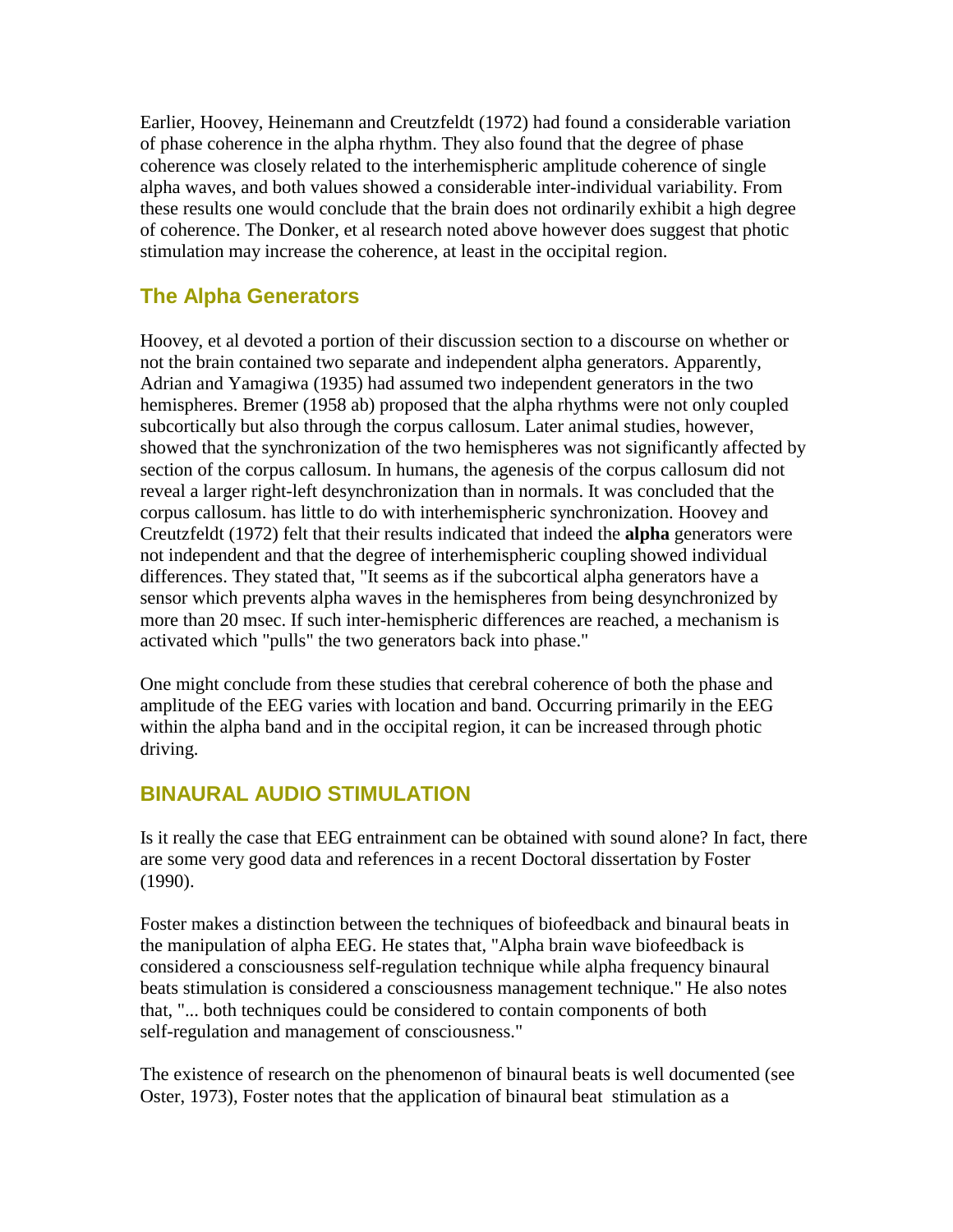Earlier, Hoovey, Heinemann and Creutzfeldt (1972) had found a considerable variation of phase coherence in the alpha rhythm. They also found that the degree of phase coherence was closely related to the interhemispheric amplitude coherence of single alpha waves, and both values showed a considerable inter-individual variability. From these results one would conclude that the brain does not ordinarily exhibit a high degree of coherence. The Donker, et al research noted above however does suggest that photic stimulation may increase the coherence, at least in the occipital region.

## **The Alpha Generators**

Hoovey, et al devoted a portion of their discussion section to a discourse on whether or not the brain contained two separate and independent alpha generators. Apparently, Adrian and Yamagiwa (1935) had assumed two independent generators in the two hemispheres. Bremer (1958 ab) proposed that the alpha rhythms were not only coupled subcortically but also through the corpus callosum. Later animal studies, however, showed that the synchronization of the two hemispheres was not significantly affected by section of the corpus callosum. In humans, the agenesis of the corpus callosum did not reveal a larger right-left desynchronization than in normals. It was concluded that the corpus callosum. has little to do with interhemispheric synchronization. Hoovey and Creutzfeldt (1972) felt that their results indicated that indeed the **alpha** generators were not independent and that the degree of interhemispheric coupling showed individual differences. They stated that, "It seems as if the subcortical alpha generators have a sensor which prevents alpha waves in the hemispheres from being desynchronized by more than 20 msec. If such inter-hemispheric differences are reached, a mechanism is activated which "pulls" the two generators back into phase."

One might conclude from these studies that cerebral coherence of both the phase and amplitude of the EEG varies with location and band. Occurring primarily in the EEG within the alpha band and in the occipital region, it can be increased through photic driving.

### **BINAURAL AUDIO STIMULATION**

Is it really the case that EEG entrainment can be obtained with sound alone? In fact, there are some very good data and references in a recent Doctoral dissertation by Foster (1990).

Foster makes a distinction between the techniques of biofeedback and binaural beats in the manipulation of alpha EEG. He states that, "Alpha brain wave biofeedback is considered a consciousness self-regulation technique while alpha frequency binaural beats stimulation is considered a consciousness management technique." He also notes that, "... both techniques could be considered to contain components of both self-regulation and management of consciousness."

The existence of research on the phenomenon of binaural beats is well documented (see Oster, 1973), Foster notes that the application of binaural beat stimulation as a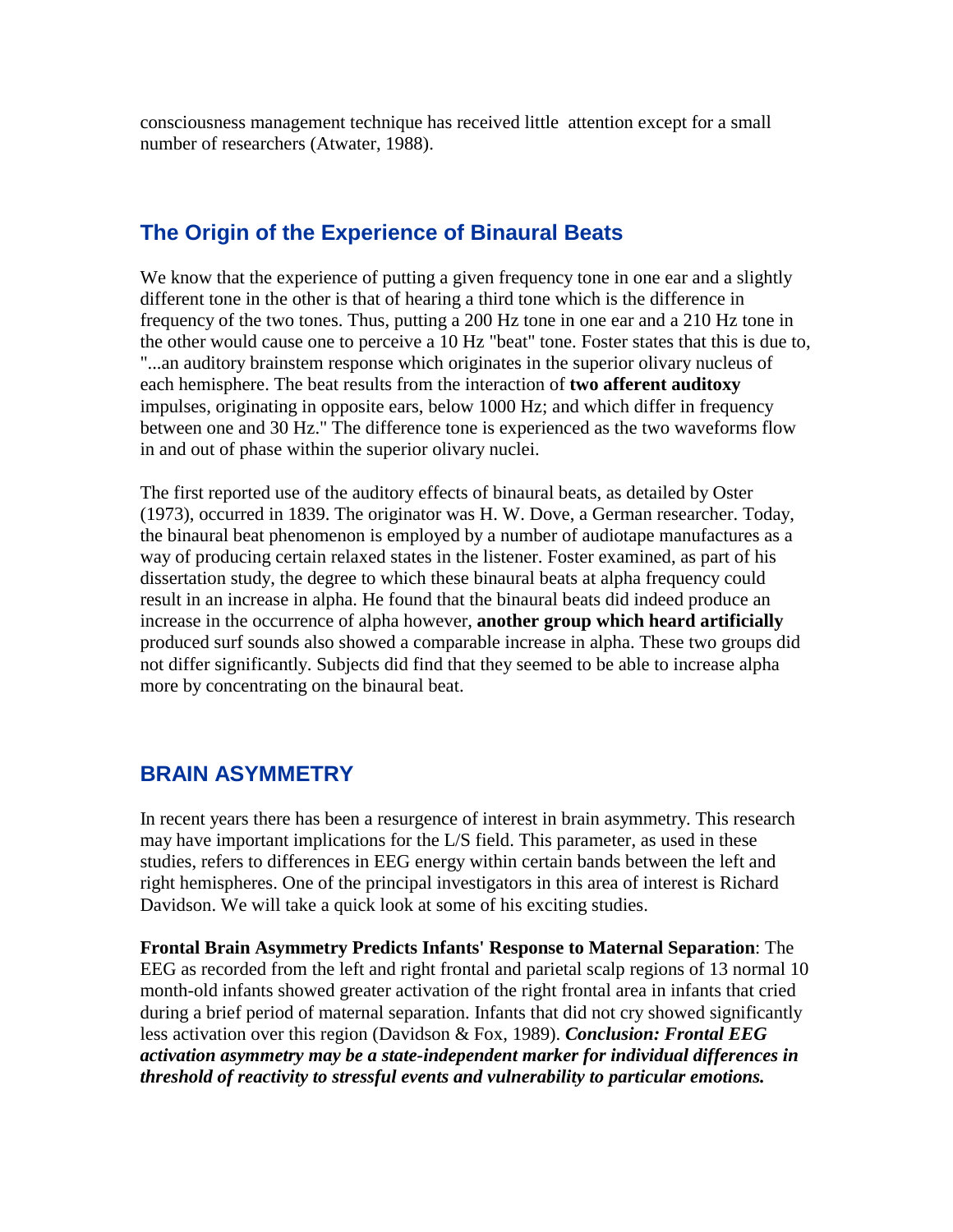consciousness management technique has received little attention except for a small number of researchers (Atwater, 1988).

## **The Origin of the Experience of Binaural Beats**

We know that the experience of putting a given frequency tone in one ear and a slightly different tone in the other is that of hearing a third tone which is the difference in frequency of the two tones. Thus, putting a 200 Hz tone in one ear and a 210 Hz tone in the other would cause one to perceive a 10 Hz "beat" tone. Foster states that this is due to, "...an auditory brainstem response which originates in the superior olivary nucleus of each hemisphere. The beat results from the interaction of **two afferent auditoxy**  impulses, originating in opposite ears, below 1000 Hz; and which differ in frequency between one and 30 Hz." The difference tone is experienced as the two waveforms flow in and out of phase within the superior olivary nuclei.

The first reported use of the auditory effects of binaural beats, as detailed by Oster (1973), occurred in 1839. The originator was H. W. Dove, a German researcher. Today, the binaural beat phenomenon is employed by a number of audiotape manufactures as a way of producing certain relaxed states in the listener. Foster examined, as part of his dissertation study, the degree to which these binaural beats at alpha frequency could result in an increase in alpha. He found that the binaural beats did indeed produce an increase in the occurrence of alpha however, **another group which heard artificially**  produced surf sounds also showed a comparable increase in alpha. These two groups did not differ significantly. Subjects did find that they seemed to be able to increase alpha more by concentrating on the binaural beat.

### **BRAIN ASYMMETRY**

In recent years there has been a resurgence of interest in brain asymmetry. This research may have important implications for the L/S field. This parameter, as used in these studies, refers to differences in EEG energy within certain bands between the left and right hemispheres. One of the principal investigators in this area of interest is Richard Davidson. We will take a quick look at some of his exciting studies.

**Frontal Brain Asymmetry Predicts Infants' Response to Maternal Separation**: The EEG as recorded from the left and right frontal and parietal scalp regions of 13 normal 10 month-old infants showed greater activation of the right frontal area in infants that cried during a brief period of maternal separation. Infants that did not cry showed significantly less activation over this region (Davidson & Fox, 1989). *Conclusion: Frontal EEG activation asymmetry may be a state-independent marker for individual differences in threshold of reactivity to stressful events and vulnerability to particular emotions.*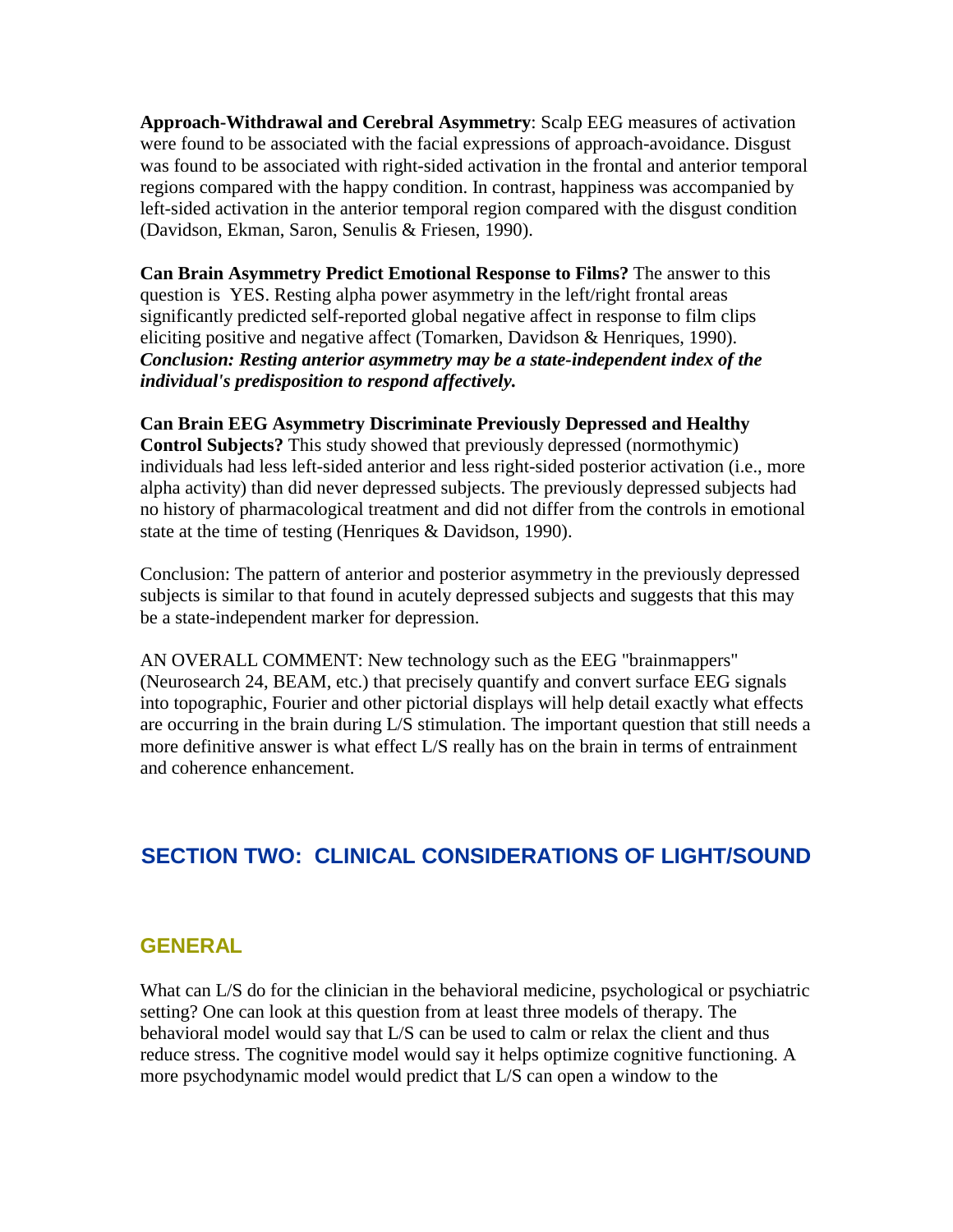**Approach-Withdrawal and Cerebral Asymmetry**: Scalp EEG measures of activation were found to be associated with the facial expressions of approach-avoidance. Disgust was found to be associated with right-sided activation in the frontal and anterior temporal regions compared with the happy condition. In contrast, happiness was accompanied by left-sided activation in the anterior temporal region compared with the disgust condition (Davidson, Ekman, Saron, Senulis & Friesen, 1990).

**Can Brain Asymmetry Predict Emotional Response to Films?** The answer to this question is YES. Resting alpha power asymmetry in the left/right frontal areas significantly predicted self-reported global negative affect in response to film clips eliciting positive and negative affect (Tomarken, Davidson & Henriques, 1990). *Conclusion: Resting anterior asymmetry may be a state-independent index of the individual's predisposition to respond affectively.* 

#### **Can Brain EEG Asymmetry Discriminate Previously Depressed and Healthy**

**Control Subjects?** This study showed that previously depressed (normothymic) individuals had less left-sided anterior and less right-sided posterior activation (i.e., more alpha activity) than did never depressed subjects. The previously depressed subjects had no history of pharmacological treatment and did not differ from the controls in emotional state at the time of testing (Henriques & Davidson, 1990).

Conclusion: The pattern of anterior and posterior asymmetry in the previously depressed subjects is similar to that found in acutely depressed subjects and suggests that this may be a state-independent marker for depression.

AN OVERALL COMMENT: New technology such as the EEG "brainmappers" (Neurosearch 24, BEAM, etc.) that precisely quantify and convert surface EEG signals into topographic, Fourier and other pictorial displays will help detail exactly what effects are occurring in the brain during L/S stimulation. The important question that still needs a more definitive answer is what effect L/S really has on the brain in terms of entrainment and coherence enhancement.

## **SECTION TWO: CLINICAL CONSIDERATIONS OF LIGHT/SOUND**

#### **GENERAL**

What can L/S do for the clinician in the behavioral medicine, psychological or psychiatric setting? One can look at this question from at least three models of therapy. The behavioral model would say that L/S can be used to calm or relax the client and thus reduce stress. The cognitive model would say it helps optimize cognitive functioning. A more psychodynamic model would predict that L/S can open a window to the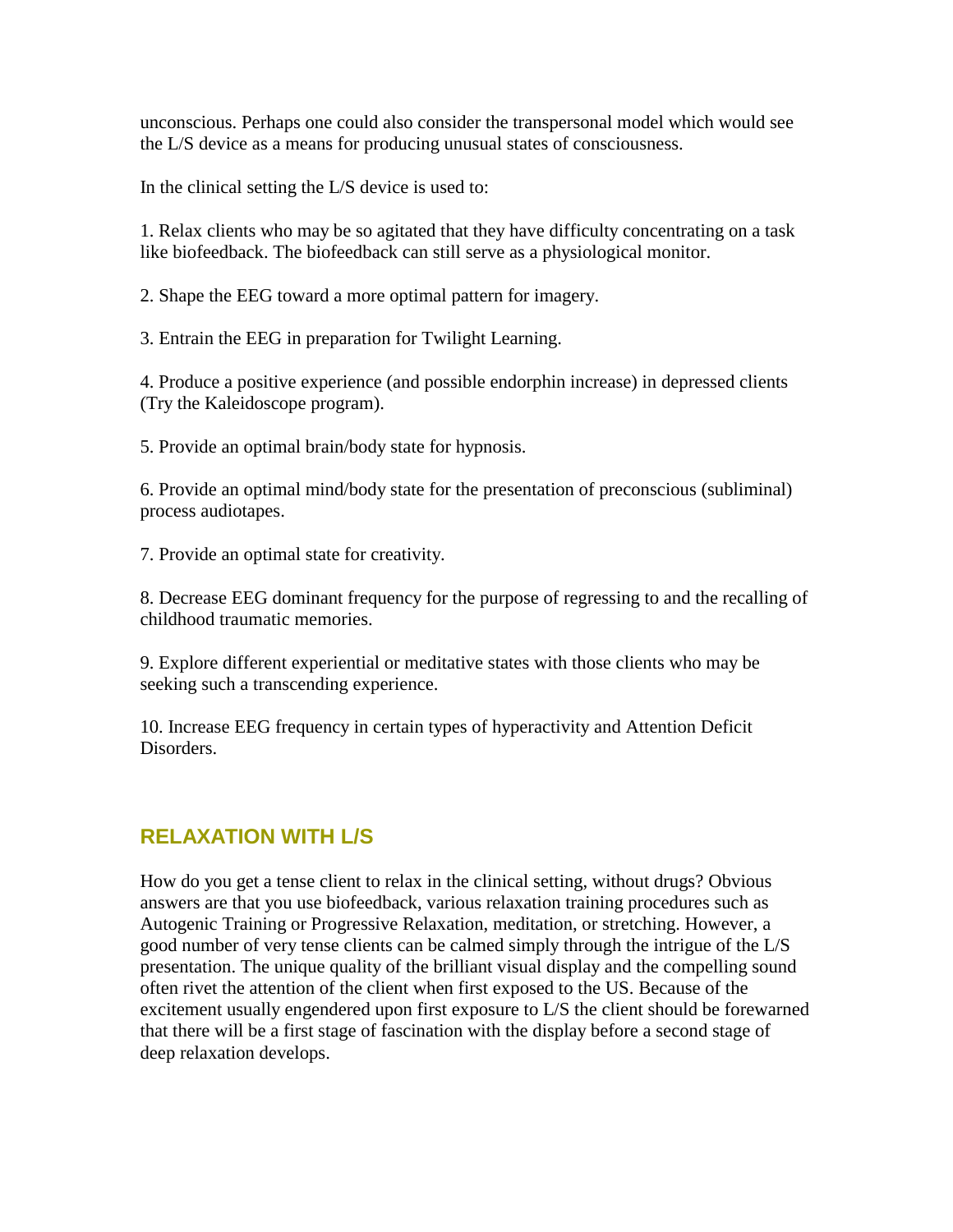unconscious. Perhaps one could also consider the transpersonal model which would see the L/S device as a means for producing unusual states of consciousness.

In the clinical setting the L/S device is used to:

1. Relax clients who may be so agitated that they have difficulty concentrating on a task like biofeedback. The biofeedback can still serve as a physiological monitor.

2. Shape the EEG toward a more optimal pattern for imagery.

3. Entrain the EEG in preparation for Twilight Learning.

4. Produce a positive experience (and possible endorphin increase) in depressed clients (Try the Kaleidoscope program).

5. Provide an optimal brain/body state for hypnosis.

6. Provide an optimal mind/body state for the presentation of preconscious (subliminal) process audiotapes.

7. Provide an optimal state for creativity.

8. Decrease EEG dominant frequency for the purpose of regressing to and the recalling of childhood traumatic memories.

9. Explore different experiential or meditative states with those clients who may be seeking such a transcending experience.

10. Increase EEG frequency in certain types of hyperactivity and Attention Deficit **Disorders** 

## **RELAXATION WITH L/S**

How do you get a tense client to relax in the clinical setting, without drugs? Obvious answers are that you use biofeedback, various relaxation training procedures such as Autogenic Training or Progressive Relaxation, meditation, or stretching. However, a good number of very tense clients can be calmed simply through the intrigue of the L/S presentation. The unique quality of the brilliant visual display and the compelling sound often rivet the attention of the client when first exposed to the US. Because of the excitement usually engendered upon first exposure to L/S the client should be forewarned that there will be a first stage of fascination with the display before a second stage of deep relaxation develops.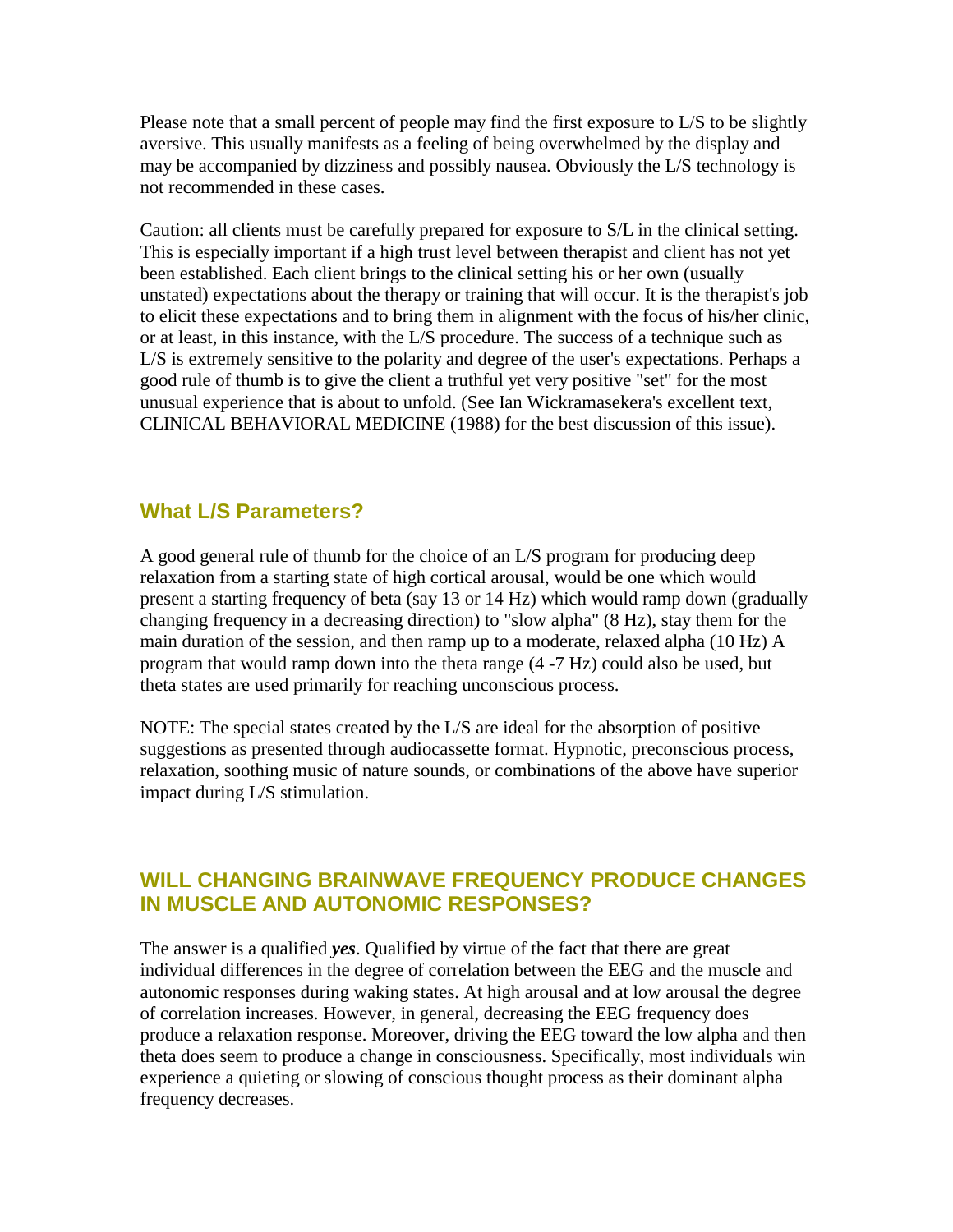Please note that a small percent of people may find the first exposure to L/S to be slightly aversive. This usually manifests as a feeling of being overwhelmed by the display and may be accompanied by dizziness and possibly nausea. Obviously the L/S technology is not recommended in these cases.

Caution: all clients must be carefully prepared for exposure to S/L in the clinical setting. This is especially important if a high trust level between therapist and client has not yet been established. Each client brings to the clinical setting his or her own (usually unstated) expectations about the therapy or training that will occur. It is the therapist's job to elicit these expectations and to bring them in alignment with the focus of his/her clinic, or at least, in this instance, with the L/S procedure. The success of a technique such as L/S is extremely sensitive to the polarity and degree of the user's expectations. Perhaps a good rule of thumb is to give the client a truthful yet very positive "set" for the most unusual experience that is about to unfold. (See Ian Wickramasekera's excellent text, CLINICAL BEHAVIORAL MEDICINE (1988) for the best discussion of this issue).

### **What L/S Parameters?**

A good general rule of thumb for the choice of an L/S program for producing deep relaxation from a starting state of high cortical arousal, would be one which would present a starting frequency of beta (say 13 or 14 Hz) which would ramp down (gradually changing frequency in a decreasing direction) to "slow alpha" (8 Hz), stay them for the main duration of the session, and then ramp up to a moderate, relaxed alpha (10 Hz) A program that would ramp down into the theta range (4 -7 Hz) could also be used, but theta states are used primarily for reaching unconscious process.

NOTE: The special states created by the L/S are ideal for the absorption of positive suggestions as presented through audiocassette format. Hypnotic, preconscious process, relaxation, soothing music of nature sounds, or combinations of the above have superior impact during L/S stimulation.

### **WILL CHANGING BRAINWAVE FREQUENCY PRODUCE CHANGES IN MUSCLE AND AUTONOMIC RESPONSES?**

The answer is a qualified *yes*. Qualified by virtue of the fact that there are great individual differences in the degree of correlation between the EEG and the muscle and autonomic responses during waking states. At high arousal and at low arousal the degree of correlation increases. However, in general, decreasing the EEG frequency does produce a relaxation response. Moreover, driving the EEG toward the low alpha and then theta does seem to produce a change in consciousness. Specifically, most individuals win experience a quieting or slowing of conscious thought process as their dominant alpha frequency decreases.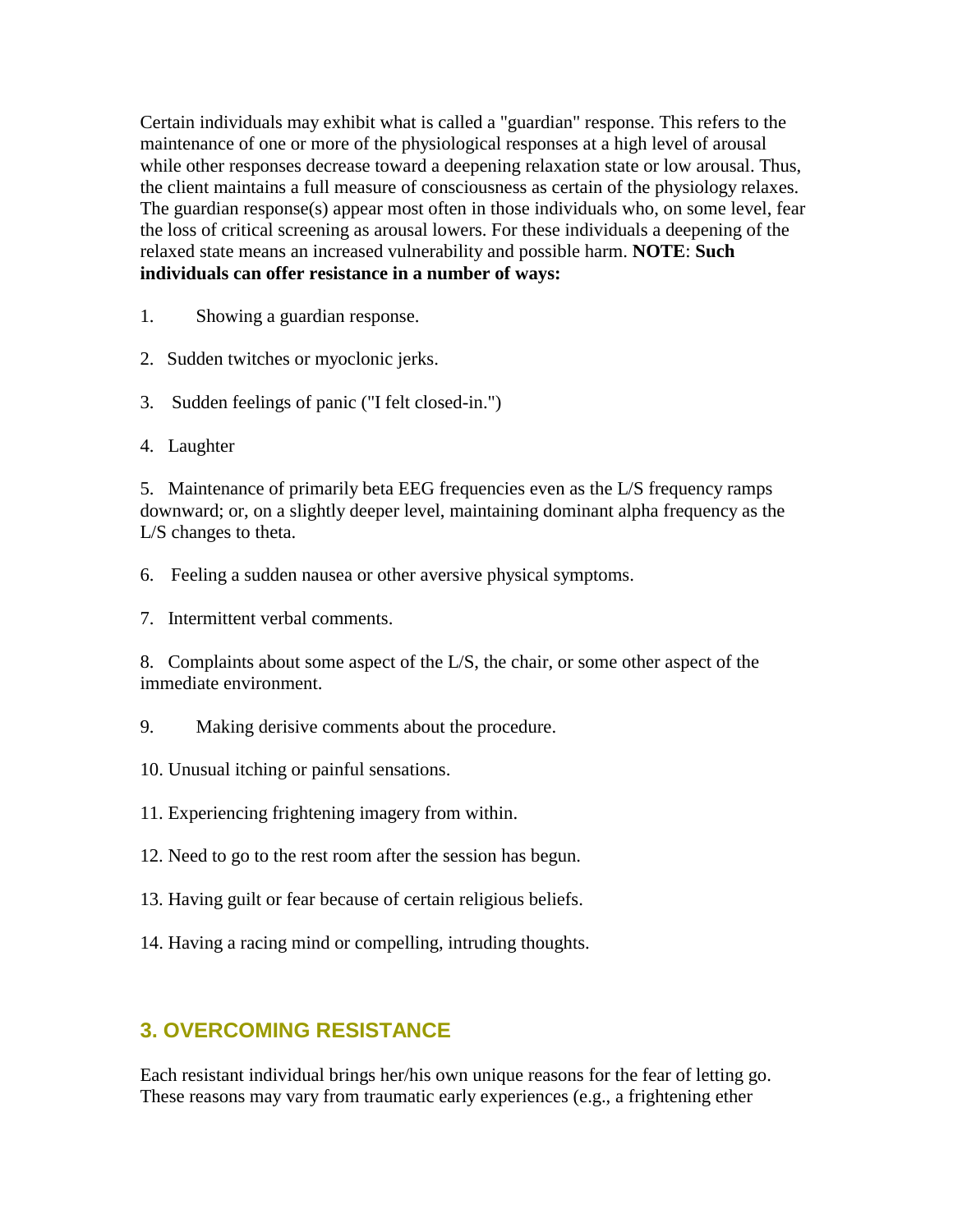Certain individuals may exhibit what is called a "guardian" response. This refers to the maintenance of one or more of the physiological responses at a high level of arousal while other responses decrease toward a deepening relaxation state or low arousal. Thus, the client maintains a full measure of consciousness as certain of the physiology relaxes. The guardian response(s) appear most often in those individuals who, on some level, fear the loss of critical screening as arousal lowers. For these individuals a deepening of the relaxed state means an increased vulnerability and possible harm. **NOTE**: **Such individuals can offer resistance in a number of ways:** 

1. Showing a guardian response.

- 2. Sudden twitches or myoclonic jerks.
- 3. Sudden feelings of panic ("I felt closed-in.")
- 4. Laughter

5. Maintenance of primarily beta EEG frequencies even as the L/S frequency ramps downward; or, on a slightly deeper level, maintaining dominant alpha frequency as the L/S changes to theta.

6. Feeling a sudden nausea or other aversive physical symptoms.

7. Intermittent verbal comments.

8. Complaints about some aspect of the L/S, the chair, or some other aspect of the immediate environment.

- 9. Making derisive comments about the procedure.
- 10. Unusual itching or painful sensations.
- 11. Experiencing frightening imagery from within.
- 12. Need to go to the rest room after the session has begun.
- 13. Having guilt or fear because of certain religious beliefs.
- 14. Having a racing mind or compelling, intruding thoughts.

### **3. OVERCOMING RESISTANCE**

Each resistant individual brings her/his own unique reasons for the fear of letting go. These reasons may vary from traumatic early experiences (e.g., a frightening ether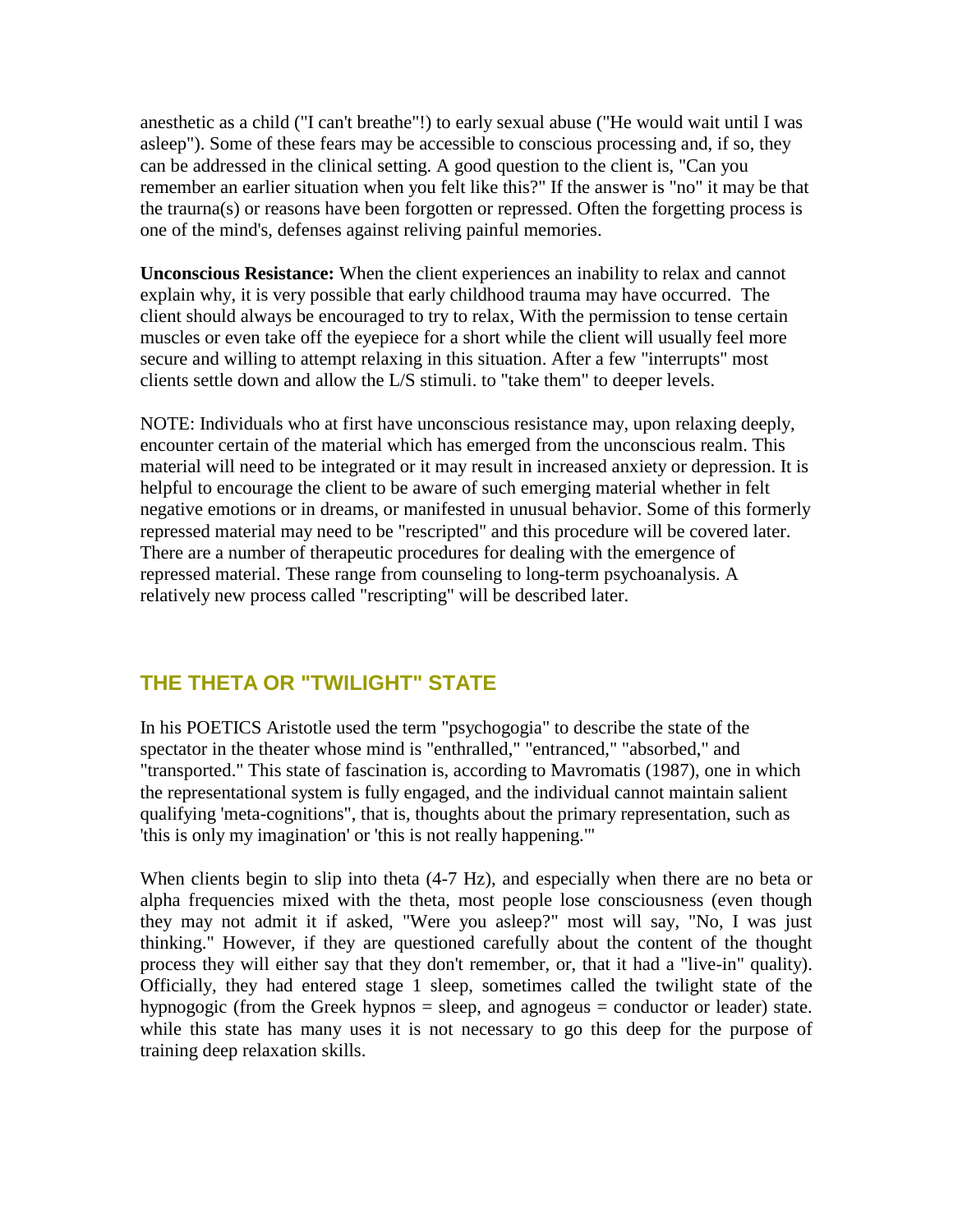anesthetic as a child ("I can't breathe"!) to early sexual abuse ("He would wait until I was asleep"). Some of these fears may be accessible to conscious processing and, if so, they can be addressed in the clinical setting. A good question to the client is, "Can you remember an earlier situation when you felt like this?" If the answer is "no" it may be that the traurna(s) or reasons have been forgotten or repressed. Often the forgetting process is one of the mind's, defenses against reliving painful memories.

**Unconscious Resistance:** When the client experiences an inability to relax and cannot explain why, it is very possible that early childhood trauma may have occurred. The client should always be encouraged to try to relax, With the permission to tense certain muscles or even take off the eyepiece for a short while the client will usually feel more secure and willing to attempt relaxing in this situation. After a few "interrupts" most clients settle down and allow the L/S stimuli. to "take them" to deeper levels.

NOTE: Individuals who at first have unconscious resistance may, upon relaxing deeply, encounter certain of the material which has emerged from the unconscious realm. This material will need to be integrated or it may result in increased anxiety or depression. It is helpful to encourage the client to be aware of such emerging material whether in felt negative emotions or in dreams, or manifested in unusual behavior. Some of this formerly repressed material may need to be "rescripted" and this procedure will be covered later. There are a number of therapeutic procedures for dealing with the emergence of repressed material. These range from counseling to long-term psychoanalysis. A relatively new process called "rescripting" will be described later.

### **THE THETA OR "TWILIGHT" STATE**

In his POETICS Aristotle used the term "psychogogia" to describe the state of the spectator in the theater whose mind is "enthralled," "entranced," "absorbed," and "transported." This state of fascination is, according to Mavromatis (1987), one in which the representational system is fully engaged, and the individual cannot maintain salient qualifying 'meta-cognitions", that is, thoughts about the primary representation, such as 'this is only my imagination' or 'this is not really happening."'

When clients begin to slip into theta  $(4-7 \text{ Hz})$ , and especially when there are no beta or alpha frequencies mixed with the theta, most people lose consciousness (even though they may not admit it if asked, "Were you asleep?" most will say, "No, I was just thinking." However, if they are questioned carefully about the content of the thought process they will either say that they don't remember, or, that it had a "live-in" quality). Officially, they had entered stage 1 sleep, sometimes called the twilight state of the hypnogogic (from the Greek hypnos = sleep, and agnogeus = conductor or leader) state. while this state has many uses it is not necessary to go this deep for the purpose of training deep relaxation skills.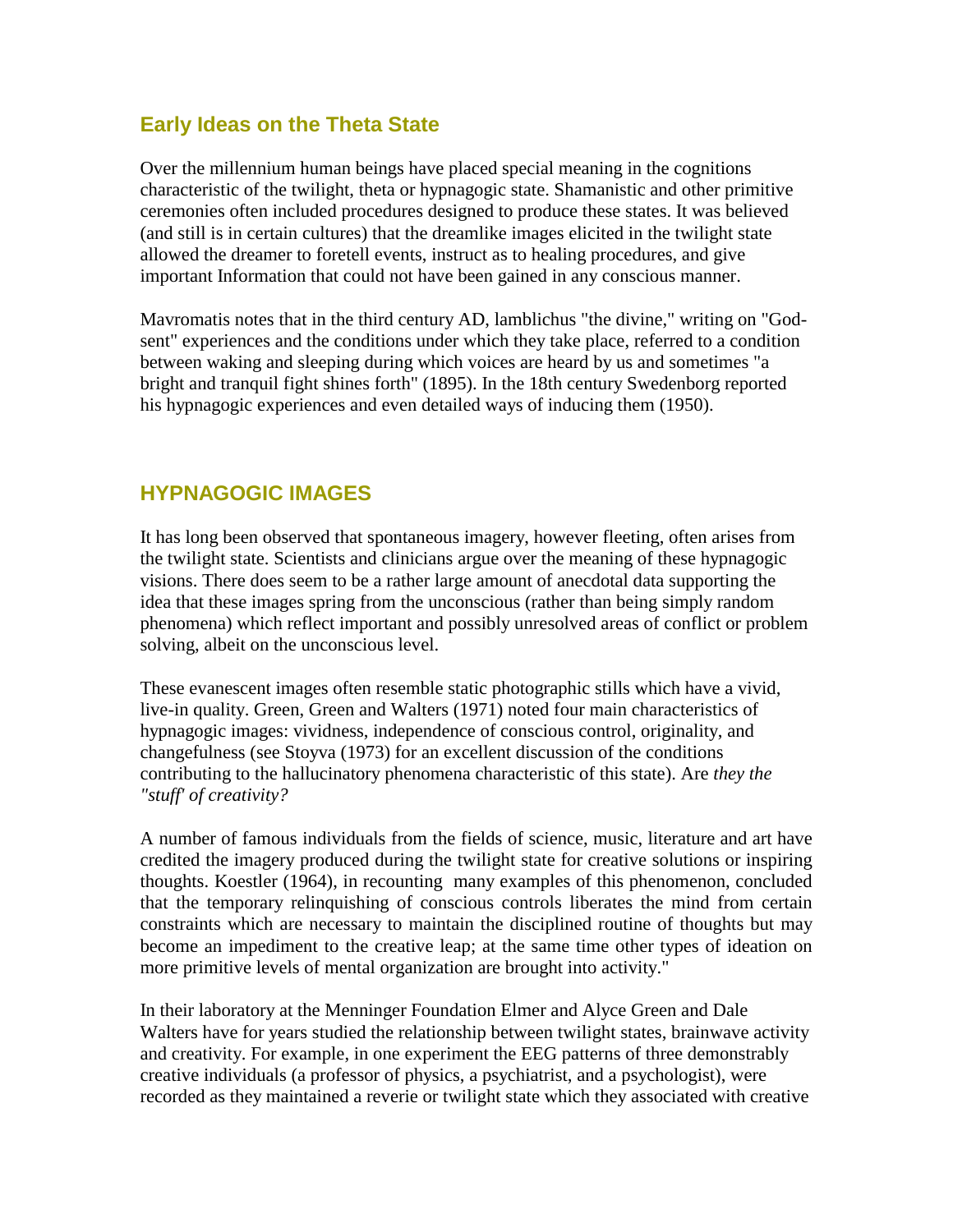### **Early Ideas on the Theta State**

Over the millennium human beings have placed special meaning in the cognitions characteristic of the twilight, theta or hypnagogic state. Shamanistic and other primitive ceremonies often included procedures designed to produce these states. It was believed (and still is in certain cultures) that the dreamlike images elicited in the twilight state allowed the dreamer to foretell events, instruct as to healing procedures, and give important Information that could not have been gained in any conscious manner.

Mavromatis notes that in the third century AD, lamblichus "the divine," writing on "Godsent" experiences and the conditions under which they take place, referred to a condition between waking and sleeping during which voices are heard by us and sometimes "a bright and tranquil fight shines forth" (1895). In the 18th century Swedenborg reported his hypnagogic experiences and even detailed ways of inducing them (1950).

### **HYPNAGOGIC IMAGES**

It has long been observed that spontaneous imagery, however fleeting, often arises from the twilight state. Scientists and clinicians argue over the meaning of these hypnagogic visions. There does seem to be a rather large amount of anecdotal data supporting the idea that these images spring from the unconscious (rather than being simply random phenomena) which reflect important and possibly unresolved areas of conflict or problem solving, albeit on the unconscious level.

These evanescent images often resemble static photographic stills which have a vivid, live-in quality. Green, Green and Walters (1971) noted four main characteristics of hypnagogic images: vividness, independence of conscious control, originality, and changefulness (see Stoyva (1973) for an excellent discussion of the conditions contributing to the hallucinatory phenomena characteristic of this state). Are *they the "stuff' of creativity?*

A number of famous individuals from the fields of science, music, literature and art have credited the imagery produced during the twilight state for creative solutions or inspiring thoughts. Koestler (1964), in recounting many examples of this phenomenon, concluded that the temporary relinquishing of conscious controls liberates the mind from certain constraints which are necessary to maintain the disciplined routine of thoughts but may become an impediment to the creative leap; at the same time other types of ideation on more primitive levels of mental organization are brought into activity."

In their laboratory at the Menninger Foundation Elmer and Alyce Green and Dale Walters have for years studied the relationship between twilight states, brainwave activity and creativity. For example, in one experiment the EEG patterns of three demonstrably creative individuals (a professor of physics, a psychiatrist, and a psychologist), were recorded as they maintained a reverie or twilight state which they associated with creative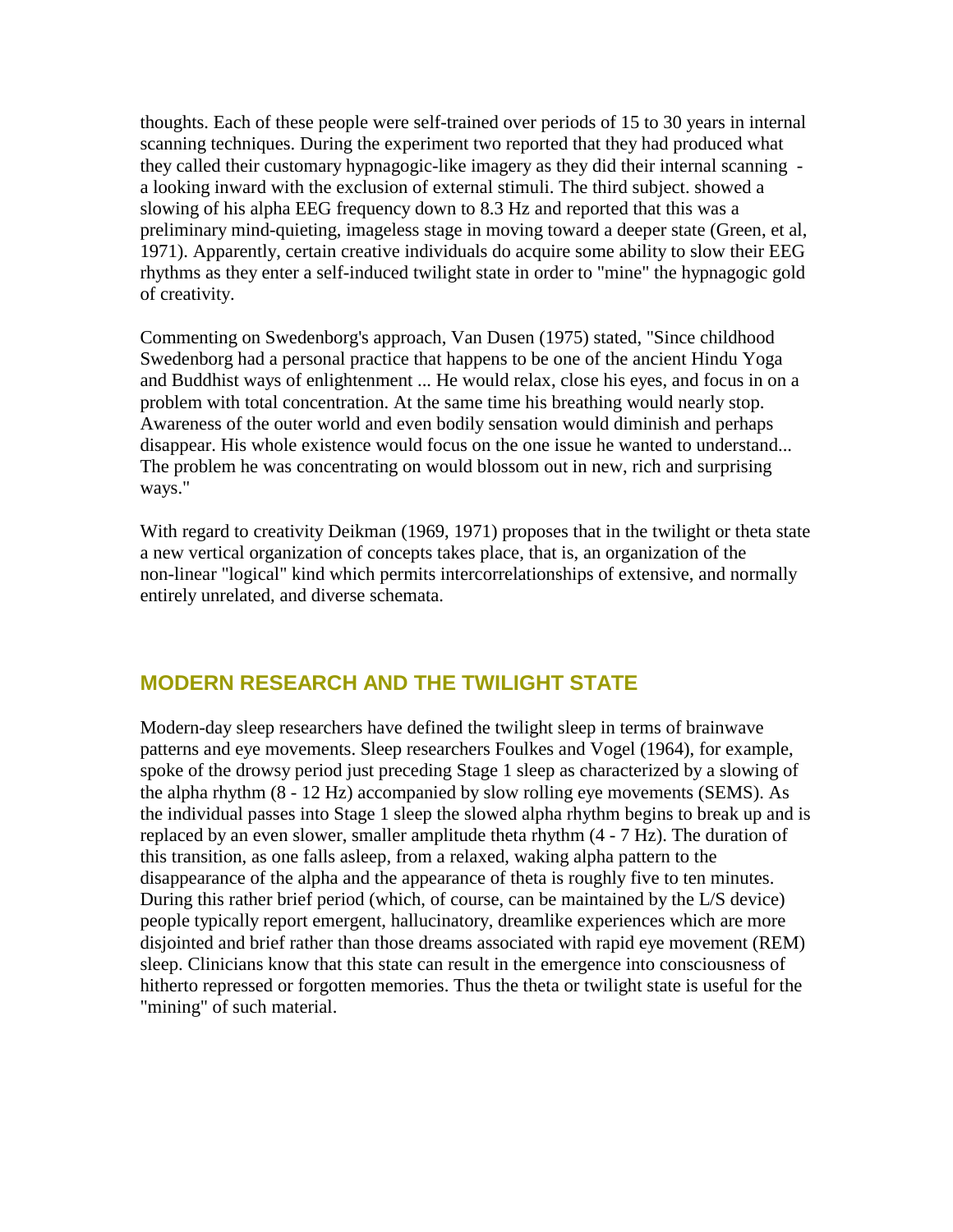thoughts. Each of these people were self-trained over periods of 15 to 30 years in internal scanning techniques. During the experiment two reported that they had produced what they called their customary hypnagogic-like imagery as they did their internal scanning a looking inward with the exclusion of external stimuli. The third subject. showed a slowing of his alpha EEG frequency down to 8.3 Hz and reported that this was a preliminary mind-quieting, imageless stage in moving toward a deeper state (Green, et al, 1971). Apparently, certain creative individuals do acquire some ability to slow their EEG rhythms as they enter a self-induced twilight state in order to "mine" the hypnagogic gold of creativity.

Commenting on Swedenborg's approach, Van Dusen (1975) stated, "Since childhood Swedenborg had a personal practice that happens to be one of the ancient Hindu Yoga and Buddhist ways of enlightenment ... He would relax, close his eyes, and focus in on a problem with total concentration. At the same time his breathing would nearly stop. Awareness of the outer world and even bodily sensation would diminish and perhaps disappear. His whole existence would focus on the one issue he wanted to understand... The problem he was concentrating on would blossom out in new, rich and surprising ways."

With regard to creativity Deikman (1969, 1971) proposes that in the twilight or theta state a new vertical organization of concepts takes place, that is, an organization of the non-linear "logical" kind which permits intercorrelationships of extensive, and normally entirely unrelated, and diverse schemata.

### **MODERN RESEARCH AND THE TWILIGHT STATE**

Modern-day sleep researchers have defined the twilight sleep in terms of brainwave patterns and eye movements. Sleep researchers Foulkes and Vogel (1964), for example, spoke of the drowsy period just preceding Stage 1 sleep as characterized by a slowing of the alpha rhythm (8 - 12 Hz) accompanied by slow rolling eye movements (SEMS). As the individual passes into Stage 1 sleep the slowed alpha rhythm begins to break up and is replaced by an even slower, smaller amplitude theta rhythm (4 - 7 Hz). The duration of this transition, as one falls asleep, from a relaxed, waking alpha pattern to the disappearance of the alpha and the appearance of theta is roughly five to ten minutes. During this rather brief period (which, of course, can be maintained by the L/S device) people typically report emergent, hallucinatory, dreamlike experiences which are more disjointed and brief rather than those dreams associated with rapid eye movement (REM) sleep. Clinicians know that this state can result in the emergence into consciousness of hitherto repressed or forgotten memories. Thus the theta or twilight state is useful for the "mining" of such material.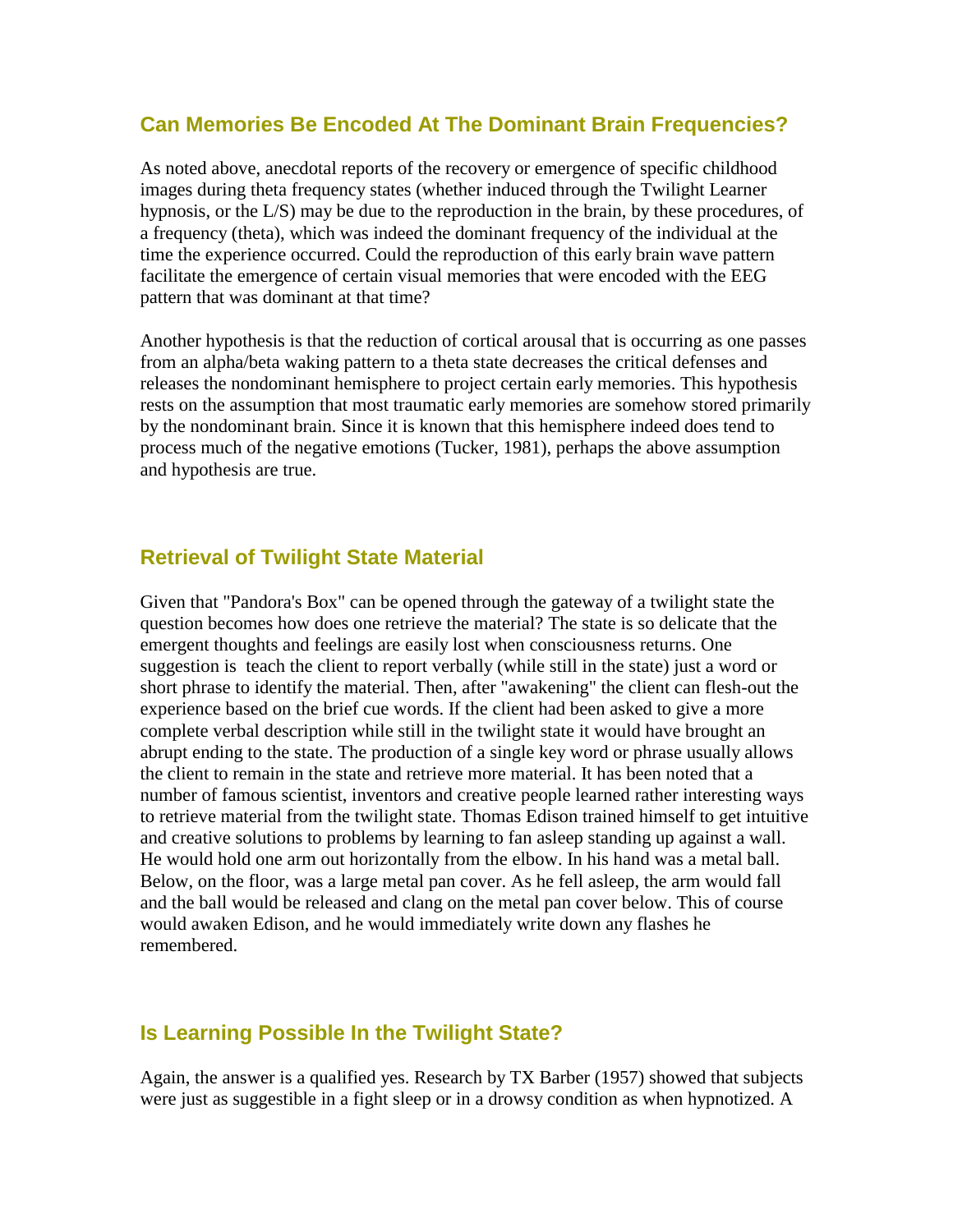#### **Can Memories Be Encoded At The Dominant Brain Frequencies?**

As noted above, anecdotal reports of the recovery or emergence of specific childhood images during theta frequency states (whether induced through the Twilight Learner hypnosis, or the L/S) may be due to the reproduction in the brain, by these procedures, of a frequency (theta), which was indeed the dominant frequency of the individual at the time the experience occurred. Could the reproduction of this early brain wave pattern facilitate the emergence of certain visual memories that were encoded with the EEG pattern that was dominant at that time?

Another hypothesis is that the reduction of cortical arousal that is occurring as one passes from an alpha/beta waking pattern to a theta state decreases the critical defenses and releases the nondominant hemisphere to project certain early memories. This hypothesis rests on the assumption that most traumatic early memories are somehow stored primarily by the nondominant brain. Since it is known that this hemisphere indeed does tend to process much of the negative emotions (Tucker, 1981), perhaps the above assumption and hypothesis are true.

### **Retrieval of Twilight State Material**

Given that "Pandora's Box" can be opened through the gateway of a twilight state the question becomes how does one retrieve the material? The state is so delicate that the emergent thoughts and feelings are easily lost when consciousness returns. One suggestion is teach the client to report verbally (while still in the state) just a word or short phrase to identify the material. Then, after "awakening" the client can flesh-out the experience based on the brief cue words. If the client had been asked to give a more complete verbal description while still in the twilight state it would have brought an abrupt ending to the state. The production of a single key word or phrase usually allows the client to remain in the state and retrieve more material. It has been noted that a number of famous scientist, inventors and creative people learned rather interesting ways to retrieve material from the twilight state. Thomas Edison trained himself to get intuitive and creative solutions to problems by learning to fan asleep standing up against a wall. He would hold one arm out horizontally from the elbow. In his hand was a metal ball. Below, on the floor, was a large metal pan cover. As he fell asleep, the arm would fall and the ball would be released and clang on the metal pan cover below. This of course would awaken Edison, and he would immediately write down any flashes he remembered.

### **Is Learning Possible In the Twilight State?**

Again, the answer is a qualified yes. Research by TX Barber (1957) showed that subjects were just as suggestible in a fight sleep or in a drowsy condition as when hypnotized. A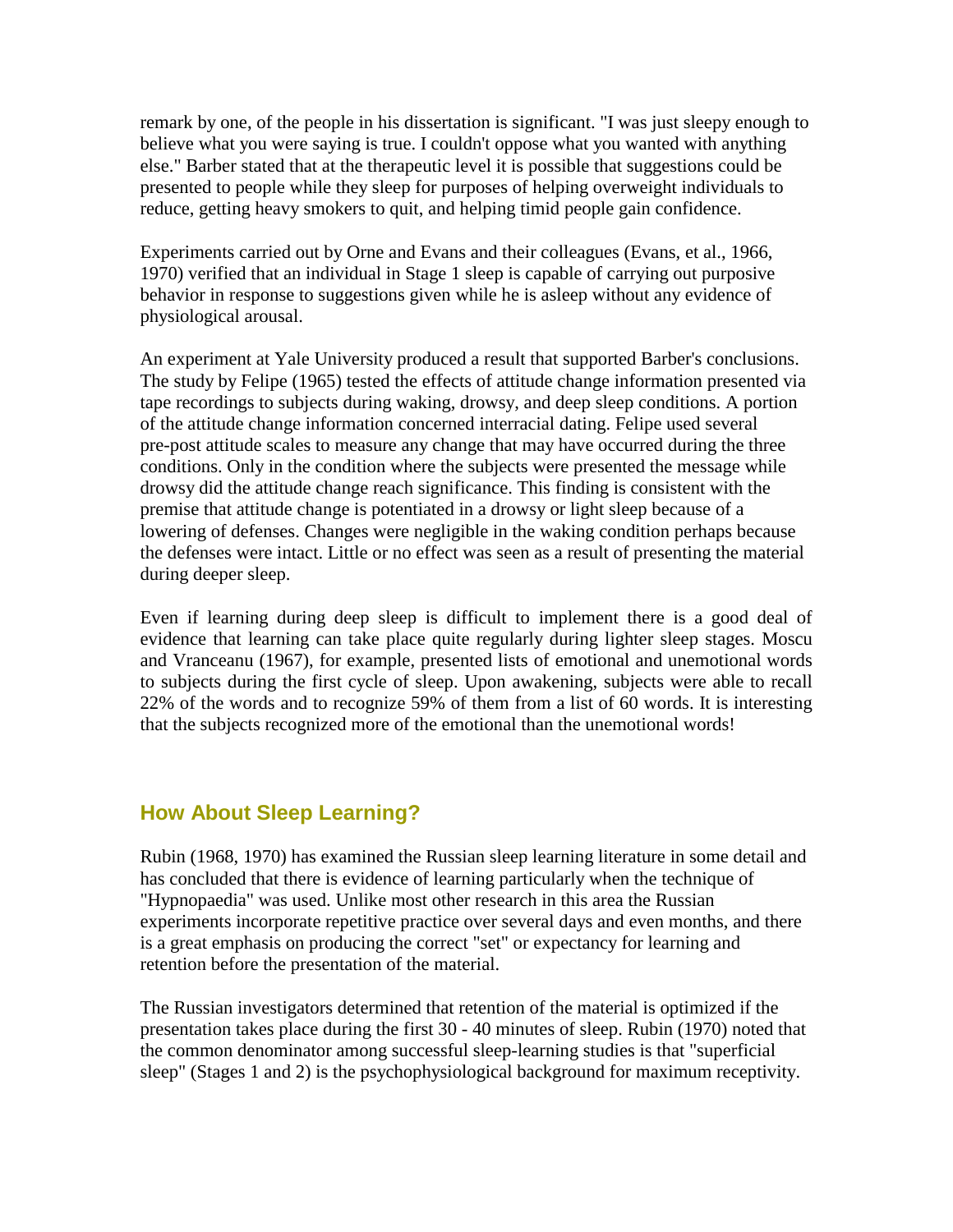remark by one, of the people in his dissertation is significant. "I was just sleepy enough to believe what you were saying is true. I couldn't oppose what you wanted with anything else." Barber stated that at the therapeutic level it is possible that suggestions could be presented to people while they sleep for purposes of helping overweight individuals to reduce, getting heavy smokers to quit, and helping timid people gain confidence.

Experiments carried out by Orne and Evans and their colleagues (Evans, et al., 1966, 1970) verified that an individual in Stage 1 sleep is capable of carrying out purposive behavior in response to suggestions given while he is asleep without any evidence of physiological arousal.

An experiment at Yale University produced a result that supported Barber's conclusions. The study by Felipe (1965) tested the effects of attitude change information presented via tape recordings to subjects during waking, drowsy, and deep sleep conditions. A portion of the attitude change information concerned interracial dating. Felipe used several pre-post attitude scales to measure any change that may have occurred during the three conditions. Only in the condition where the subjects were presented the message while drowsy did the attitude change reach significance. This finding is consistent with the premise that attitude change is potentiated in a drowsy or light sleep because of a lowering of defenses. Changes were negligible in the waking condition perhaps because the defenses were intact. Little or no effect was seen as a result of presenting the material during deeper sleep.

Even if learning during deep sleep is difficult to implement there is a good deal of evidence that learning can take place quite regularly during lighter sleep stages. Moscu and Vranceanu (1967), for example, presented lists of emotional and unemotional words to subjects during the first cycle of sleep. Upon awakening, subjects were able to recall 22% of the words and to recognize 59% of them from a list of 60 words. It is interesting that the subjects recognized more of the emotional than the unemotional words!

### **How About Sleep Learning?**

Rubin (1968, 1970) has examined the Russian sleep learning literature in some detail and has concluded that there is evidence of learning particularly when the technique of "Hypnopaedia" was used. Unlike most other research in this area the Russian experiments incorporate repetitive practice over several days and even months, and there is a great emphasis on producing the correct "set" or expectancy for learning and retention before the presentation of the material.

The Russian investigators determined that retention of the material is optimized if the presentation takes place during the first 30 - 40 minutes of sleep. Rubin (1970) noted that the common denominator among successful sleep-learning studies is that "superficial sleep" (Stages 1 and 2) is the psychophysiological background for maximum receptivity.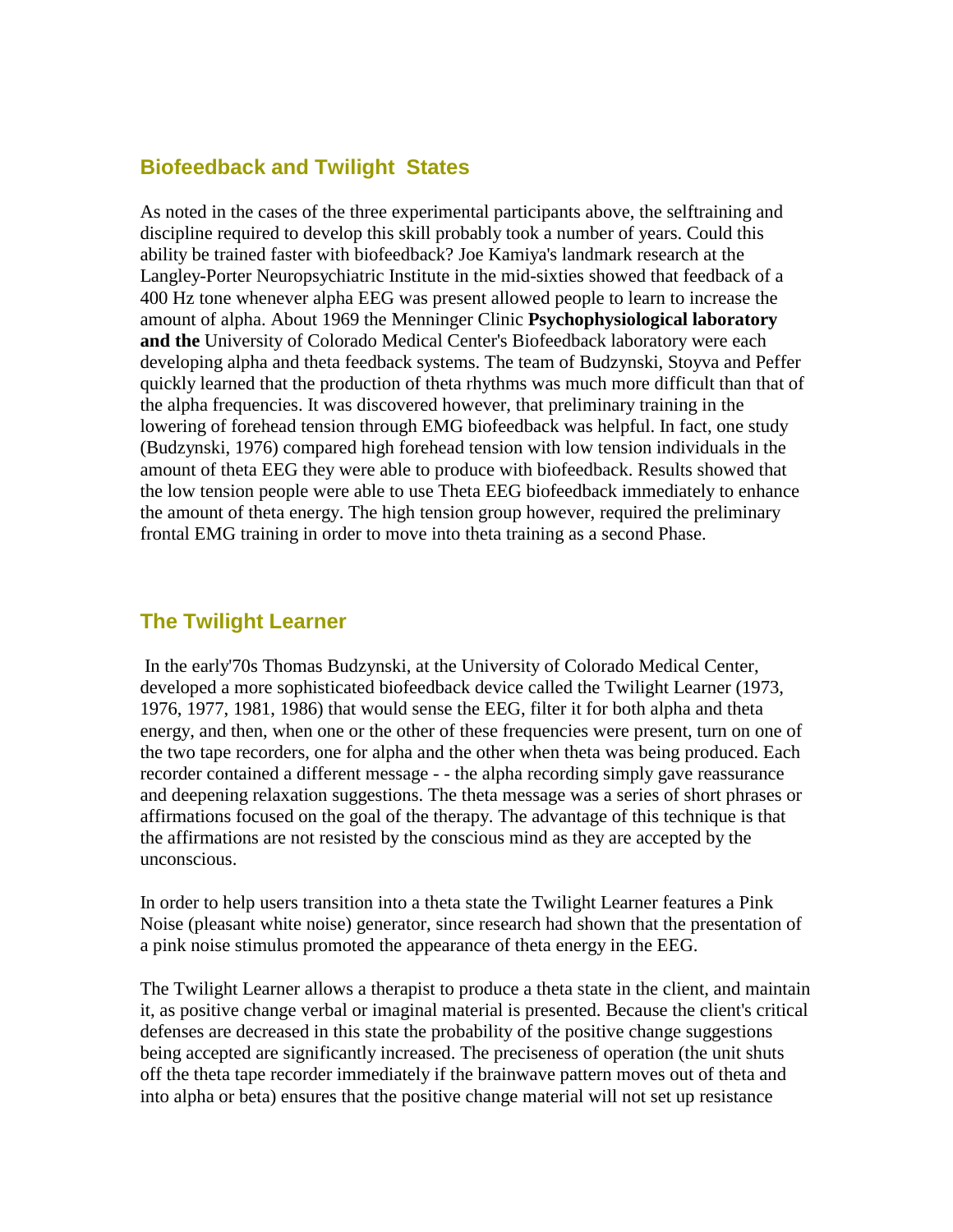### **Biofeedback and Twilight States**

As noted in the cases of the three experimental participants above, the selftraining and discipline required to develop this skill probably took a number of years. Could this ability be trained faster with biofeedback? Joe Kamiya's landmark research at the Langley-Porter Neuropsychiatric Institute in the mid-sixties showed that feedback of a 400 Hz tone whenever alpha EEG was present allowed people to learn to increase the amount of alpha. About 1969 the Menninger Clinic **Psychophysiological laboratory and the** University of Colorado Medical Center's Biofeedback laboratory were each developing alpha and theta feedback systems. The team of Budzynski, Stoyva and Peffer quickly learned that the production of theta rhythms was much more difficult than that of the alpha frequencies. It was discovered however, that preliminary training in the lowering of forehead tension through EMG biofeedback was helpful. In fact, one study (Budzynski, 1976) compared high forehead tension with low tension individuals in the amount of theta EEG they were able to produce with biofeedback. Results showed that the low tension people were able to use Theta EEG biofeedback immediately to enhance the amount of theta energy. The high tension group however, required the preliminary frontal EMG training in order to move into theta training as a second Phase.

### **The Twilight Learner**

In the early'70s Thomas Budzynski, at the University of Colorado Medical Center, developed a more sophisticated biofeedback device called the Twilight Learner (1973, 1976, 1977, 1981, 1986) that would sense the EEG, filter it for both alpha and theta energy, and then, when one or the other of these frequencies were present, turn on one of the two tape recorders, one for alpha and the other when theta was being produced. Each recorder contained a different message - - the alpha recording simply gave reassurance and deepening relaxation suggestions. The theta message was a series of short phrases or affirmations focused on the goal of the therapy. The advantage of this technique is that the affirmations are not resisted by the conscious mind as they are accepted by the unconscious.

In order to help users transition into a theta state the Twilight Learner features a Pink Noise (pleasant white noise) generator, since research had shown that the presentation of a pink noise stimulus promoted the appearance of theta energy in the EEG.

The Twilight Learner allows a therapist to produce a theta state in the client, and maintain it, as positive change verbal or imaginal material is presented. Because the client's critical defenses are decreased in this state the probability of the positive change suggestions being accepted are significantly increased. The preciseness of operation (the unit shuts off the theta tape recorder immediately if the brainwave pattern moves out of theta and into alpha or beta) ensures that the positive change material will not set up resistance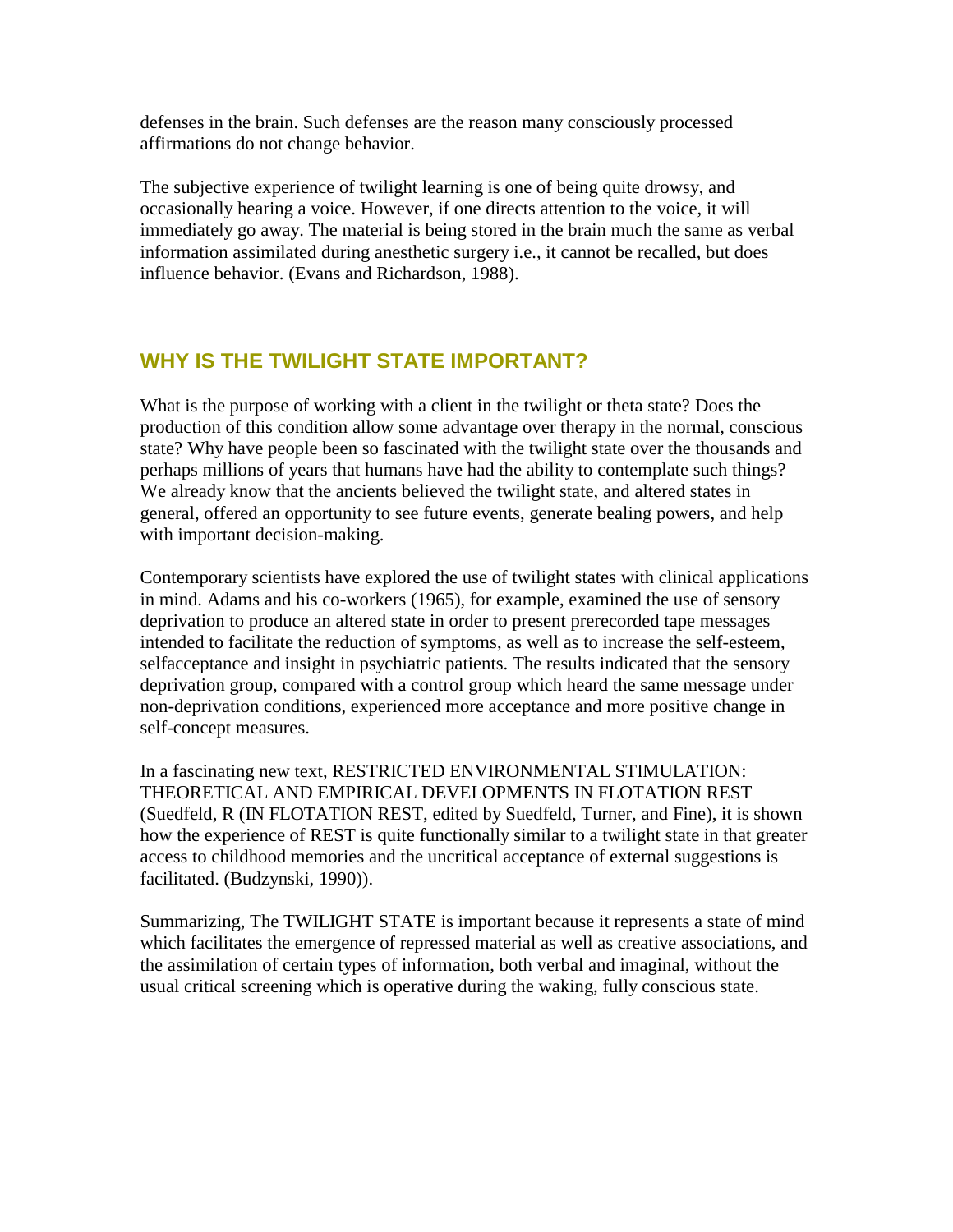defenses in the brain. Such defenses are the reason many consciously processed affirmations do not change behavior.

The subjective experience of twilight learning is one of being quite drowsy, and occasionally hearing a voice. However, if one directs attention to the voice, it will immediately go away. The material is being stored in the brain much the same as verbal information assimilated during anesthetic surgery i.e., it cannot be recalled, but does influence behavior. (Evans and Richardson, 1988).

## **WHY IS THE TWILIGHT STATE IMPORTANT?**

What is the purpose of working with a client in the twilight or theta state? Does the production of this condition allow some advantage over therapy in the normal, conscious state? Why have people been so fascinated with the twilight state over the thousands and perhaps millions of years that humans have had the ability to contemplate such things? We already know that the ancients believed the twilight state, and altered states in general, offered an opportunity to see future events, generate bealing powers, and help with important decision-making.

Contemporary scientists have explored the use of twilight states with clinical applications in mind. Adams and his co-workers (1965), for example, examined the use of sensory deprivation to produce an altered state in order to present prerecorded tape messages intended to facilitate the reduction of symptoms, as well as to increase the self-esteem, selfacceptance and insight in psychiatric patients. The results indicated that the sensory deprivation group, compared with a control group which heard the same message under non-deprivation conditions, experienced more acceptance and more positive change in self-concept measures.

In a fascinating new text, RESTRICTED ENVIRONMENTAL STIMULATION: THEORETICAL AND EMPIRICAL DEVELOPMENTS IN FLOTATION REST (Suedfeld, R (IN FLOTATION REST, edited by Suedfeld, Turner, and Fine), it is shown how the experience of REST is quite functionally similar to a twilight state in that greater access to childhood memories and the uncritical acceptance of external suggestions is facilitated. (Budzynski, 1990)).

Summarizing, The TWILIGHT STATE is important because it represents a state of mind which facilitates the emergence of repressed material as well as creative associations, and the assimilation of certain types of information, both verbal and imaginal, without the usual critical screening which is operative during the waking, fully conscious state.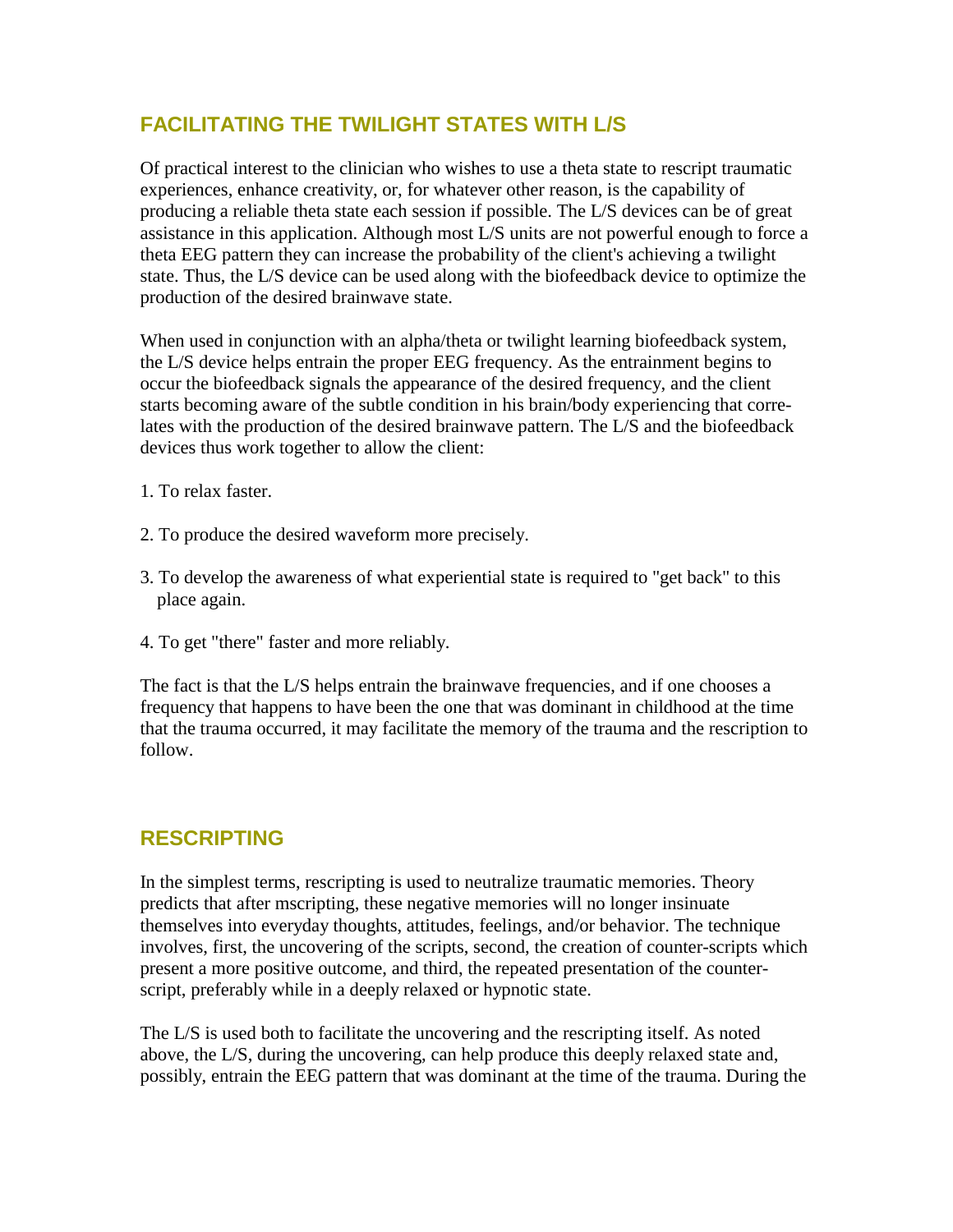## **FACILITATING THE TWILIGHT STATES WITH L/S**

Of practical interest to the clinician who wishes to use a theta state to rescript traumatic experiences, enhance creativity, or, for whatever other reason, is the capability of producing a reliable theta state each session if possible. The L/S devices can be of great assistance in this application. Although most L/S units are not powerful enough to force a theta EEG pattern they can increase the probability of the client's achieving a twilight state. Thus, the L/S device can be used along with the biofeedback device to optimize the production of the desired brainwave state.

When used in conjunction with an alpha/theta or twilight learning biofeedback system, the L/S device helps entrain the proper EEG frequency. As the entrainment begins to occur the biofeedback signals the appearance of the desired frequency, and the client starts becoming aware of the subtle condition in his brain/body experiencing that correlates with the production of the desired brainwave pattern. The L/S and the biofeedback devices thus work together to allow the client:

- 1. To relax faster.
- 2. To produce the desired waveform more precisely.
- 3. To develop the awareness of what experiential state is required to "get back" to this place again.
- 4. To get "there" faster and more reliably.

The fact is that the L/S helps entrain the brainwave frequencies, and if one chooses a frequency that happens to have been the one that was dominant in childhood at the time that the trauma occurred, it may facilitate the memory of the trauma and the rescription to follow.

### **RESCRIPTING**

In the simplest terms, rescripting is used to neutralize traumatic memories. Theory predicts that after mscripting, these negative memories will no longer insinuate themselves into everyday thoughts, attitudes, feelings, and/or behavior. The technique involves, first, the uncovering of the scripts, second, the creation of counter-scripts which present a more positive outcome, and third, the repeated presentation of the counterscript, preferably while in a deeply relaxed or hypnotic state.

The L/S is used both to facilitate the uncovering and the rescripting itself. As noted above, the L/S, during the uncovering, can help produce this deeply relaxed state and, possibly, entrain the EEG pattern that was dominant at the time of the trauma. During the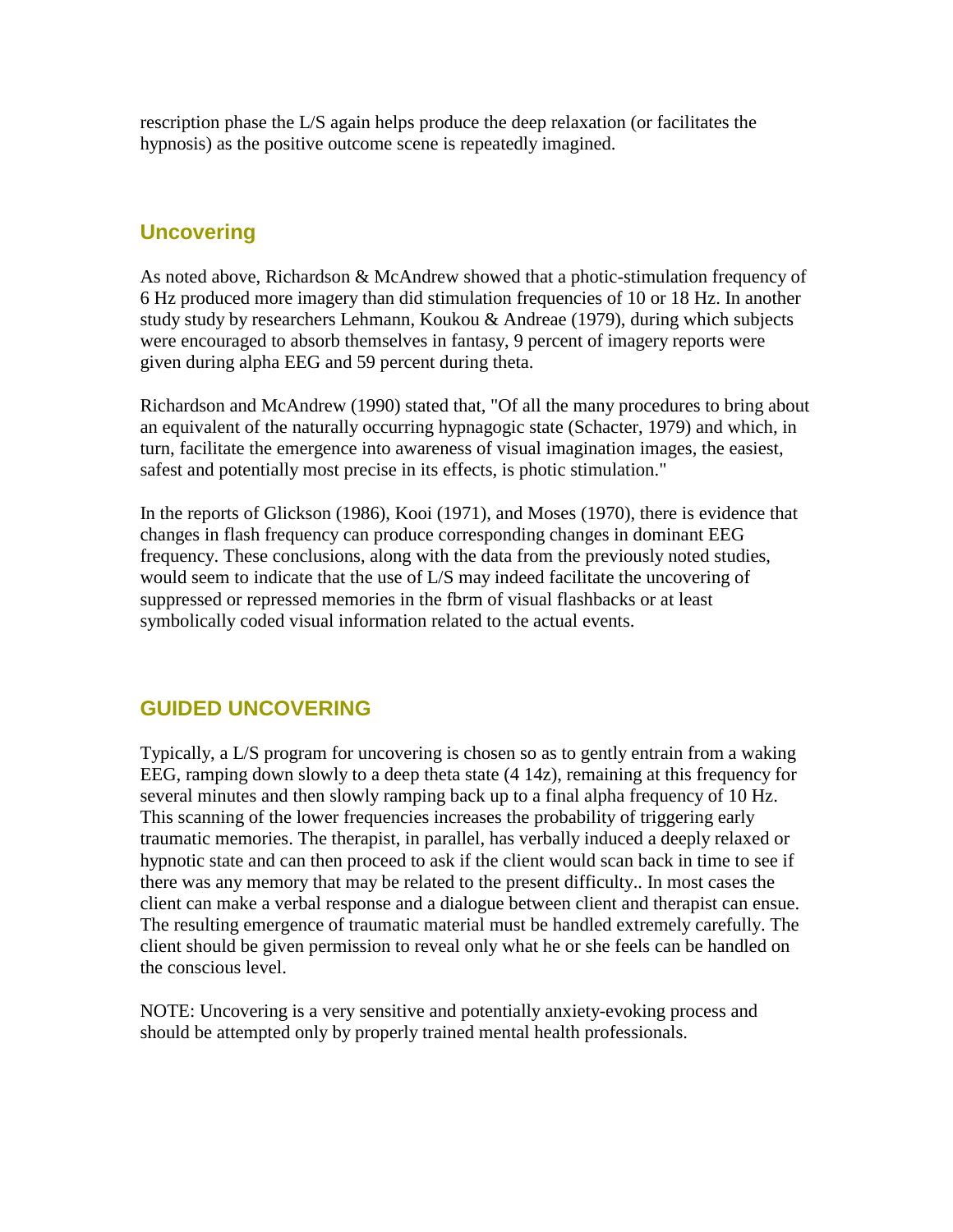rescription phase the L/S again helps produce the deep relaxation (or facilitates the hypnosis) as the positive outcome scene is repeatedly imagined.

## **Uncovering**

As noted above, Richardson & McAndrew showed that a photic-stimulation frequency of 6 Hz produced more imagery than did stimulation frequencies of 10 or 18 Hz. In another study study by researchers Lehmann, Koukou & Andreae (1979), during which subjects were encouraged to absorb themselves in fantasy, 9 percent of imagery reports were given during alpha EEG and 59 percent during theta.

Richardson and McAndrew (1990) stated that, "Of all the many procedures to bring about an equivalent of the naturally occurring hypnagogic state (Schacter, 1979) and which, in turn, facilitate the emergence into awareness of visual imagination images, the easiest, safest and potentially most precise in its effects, is photic stimulation."

In the reports of Glickson (1986), Kooi (1971), and Moses (1970), there is evidence that changes in flash frequency can produce corresponding changes in dominant EEG frequency. These conclusions, along with the data from the previously noted studies, would seem to indicate that the use of L/S may indeed facilitate the uncovering of suppressed or repressed memories in the fbrm of visual flashbacks or at least symbolically coded visual information related to the actual events.

## **GUIDED UNCOVERING**

Typically, a L/S program for uncovering is chosen so as to gently entrain from a waking EEG, ramping down slowly to a deep theta state (4 14z), remaining at this frequency for several minutes and then slowly ramping back up to a final alpha frequency of 10 Hz. This scanning of the lower frequencies increases the probability of triggering early traumatic memories. The therapist, in parallel, has verbally induced a deeply relaxed or hypnotic state and can then proceed to ask if the client would scan back in time to see if there was any memory that may be related to the present difficulty.. In most cases the client can make a verbal response and a dialogue between client and therapist can ensue. The resulting emergence of traumatic material must be handled extremely carefully. The client should be given permission to reveal only what he or she feels can be handled on the conscious level.

NOTE: Uncovering is a very sensitive and potentially anxiety-evoking process and should be attempted only by properly trained mental health professionals.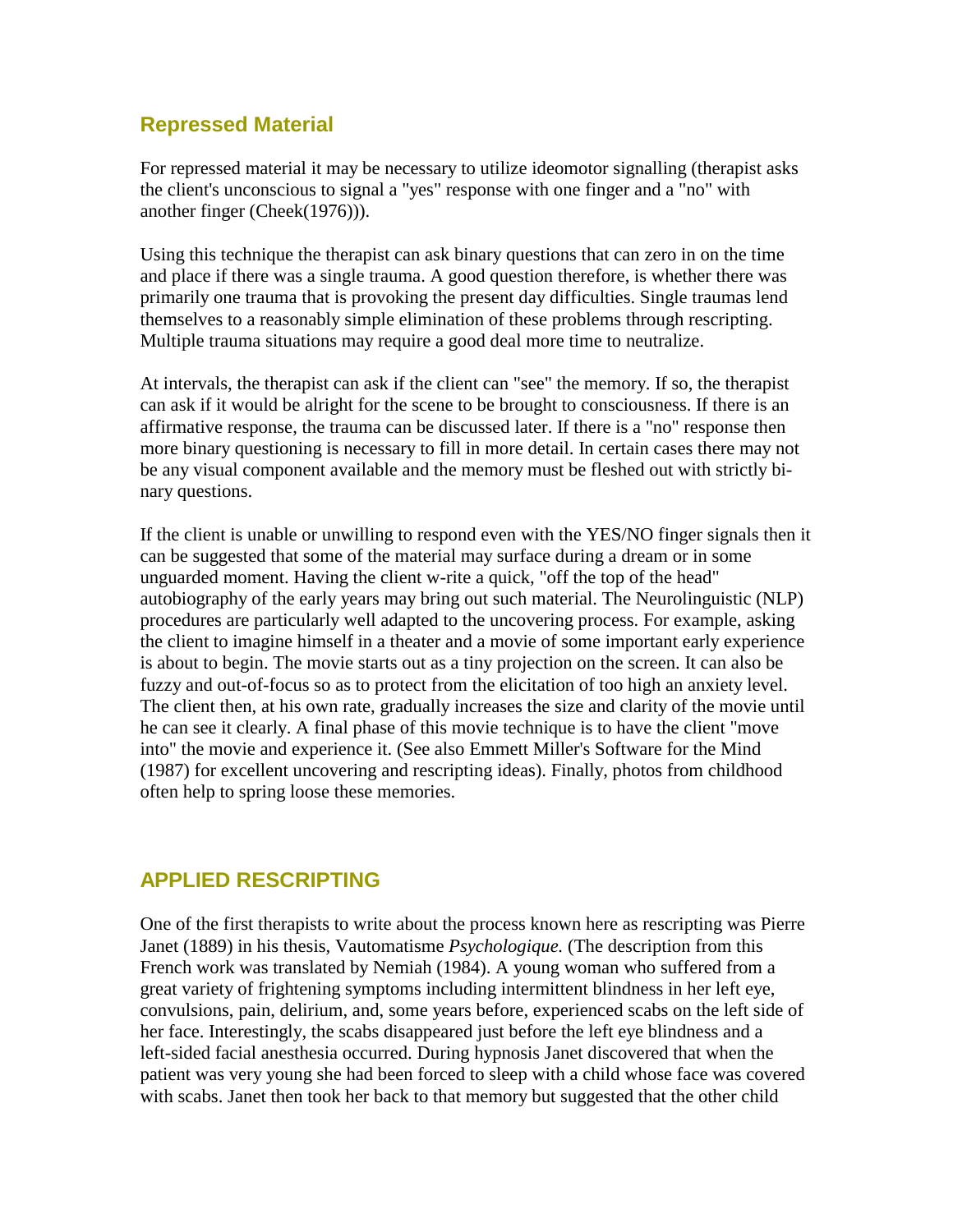### **Repressed Material**

For repressed material it may be necessary to utilize ideomotor signalling (therapist asks the client's unconscious to signal a "yes" response with one finger and a "no" with another finger (Cheek(1976))).

Using this technique the therapist can ask binary questions that can zero in on the time and place if there was a single trauma. A good question therefore, is whether there was primarily one trauma that is provoking the present day difficulties. Single traumas lend themselves to a reasonably simple elimination of these problems through rescripting. Multiple trauma situations may require a good deal more time to neutralize.

At intervals, the therapist can ask if the client can "see" the memory. If so, the therapist can ask if it would be alright for the scene to be brought to consciousness. If there is an affirmative response, the trauma can be discussed later. If there is a "no" response then more binary questioning is necessary to fill in more detail. In certain cases there may not be any visual component available and the memory must be fleshed out with strictly binary questions.

If the client is unable or unwilling to respond even with the YES/NO finger signals then it can be suggested that some of the material may surface during a dream or in some unguarded moment. Having the client w-rite a quick, "off the top of the head" autobiography of the early years may bring out such material. The Neurolinguistic (NLP) procedures are particularly well adapted to the uncovering process. For example, asking the client to imagine himself in a theater and a movie of some important early experience is about to begin. The movie starts out as a tiny projection on the screen. It can also be fuzzy and out-of-focus so as to protect from the elicitation of too high an anxiety level. The client then, at his own rate, gradually increases the size and clarity of the movie until he can see it clearly. A final phase of this movie technique is to have the client "move into" the movie and experience it. (See also Emmett Miller's Software for the Mind (1987) for excellent uncovering and rescripting ideas). Finally, photos from childhood often help to spring loose these memories.

### **APPLIED RESCRIPTING**

One of the first therapists to write about the process known here as rescripting was Pierre Janet (1889) in his thesis, Vautomatisme *Psychologique.* (The description from this French work was translated by Nemiah (1984). A young woman who suffered from a great variety of frightening symptoms including intermittent blindness in her left eye, convulsions, pain, delirium, and, some years before, experienced scabs on the left side of her face. Interestingly, the scabs disappeared just before the left eye blindness and a left-sided facial anesthesia occurred. During hypnosis Janet discovered that when the patient was very young she had been forced to sleep with a child whose face was covered with scabs. Janet then took her back to that memory but suggested that the other child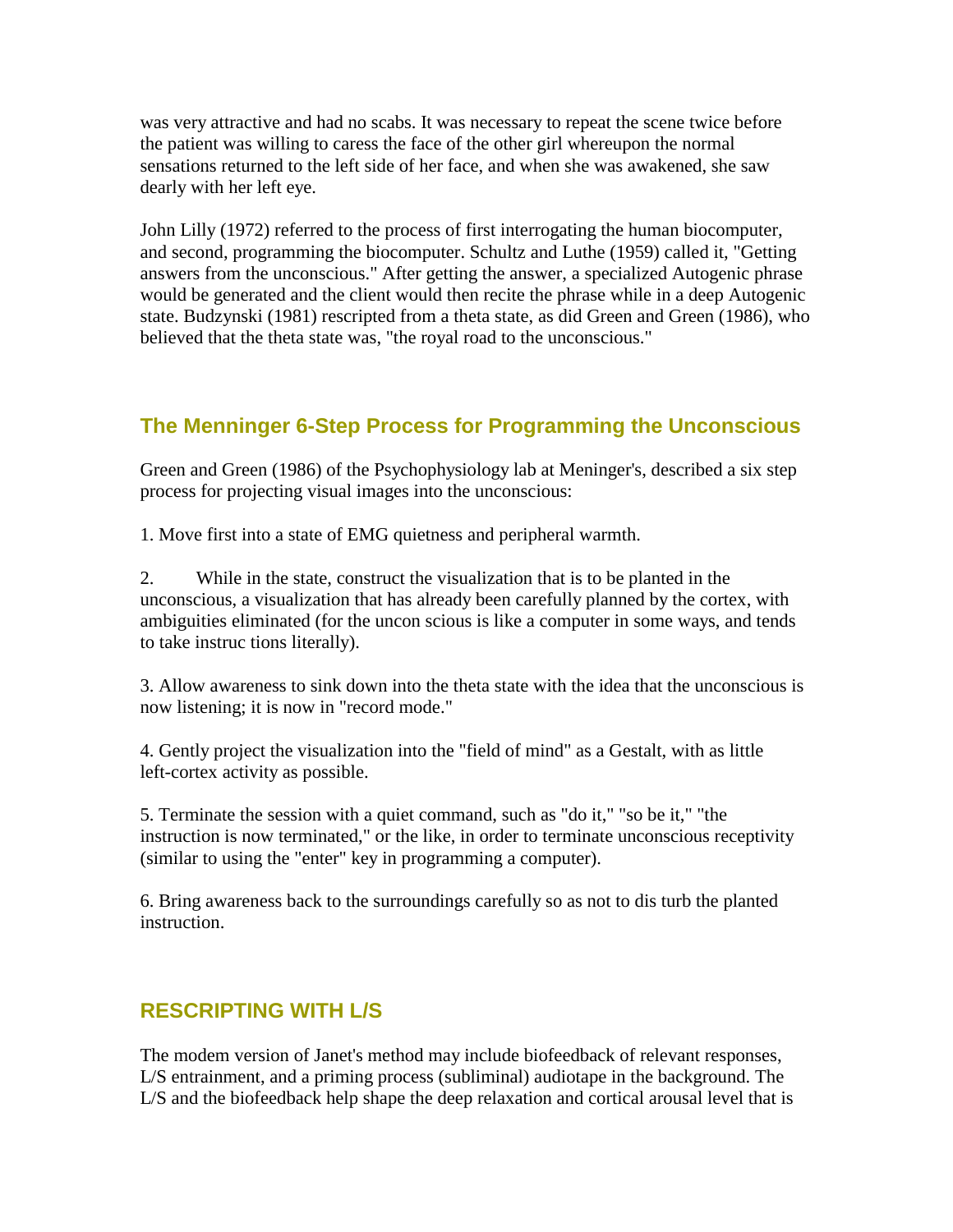was very attractive and had no scabs. It was necessary to repeat the scene twice before the patient was willing to caress the face of the other girl whereupon the normal sensations returned to the left side of her face, and when she was awakened, she saw dearly with her left eye.

John Lilly (1972) referred to the process of first interrogating the human biocomputer, and second, programming the biocomputer. Schultz and Luthe (1959) called it, "Getting answers from the unconscious." After getting the answer, a specialized Autogenic phrase would be generated and the client would then recite the phrase while in a deep Autogenic state. Budzynski (1981) rescripted from a theta state, as did Green and Green (1986), who believed that the theta state was, "the royal road to the unconscious."

# **The Menninger 6-Step Process for Programming the Unconscious**

Green and Green (1986) of the Psychophysiology lab at Meninger's, described a six step process for projecting visual images into the unconscious:

1. Move first into a state of EMG quietness and peripheral warmth.

2. While in the state, construct the visualization that is to be planted in the unconscious, a visualization that has already been carefully planned by the cortex, with ambiguities eliminated (for the uncon scious is like a computer in some ways, and tends to take instruc tions literally).

3. Allow awareness to sink down into the theta state with the idea that the unconscious is now listening; it is now in "record mode."

4. Gently project the visualization into the "field of mind" as a Gestalt, with as little left-cortex activity as possible.

5. Terminate the session with a quiet command, such as "do it," "so be it," "the instruction is now terminated," or the like, in order to terminate unconscious receptivity (similar to using the "enter" key in programming a computer).

6. Bring awareness back to the surroundings carefully so as not to dis turb the planted instruction.

## **RESCRIPTING WITH L/S**

The modem version of Janet's method may include biofeedback of relevant responses, L/S entrainment, and a priming process (subliminal) audiotape in the background. The L/S and the biofeedback help shape the deep relaxation and cortical arousal level that is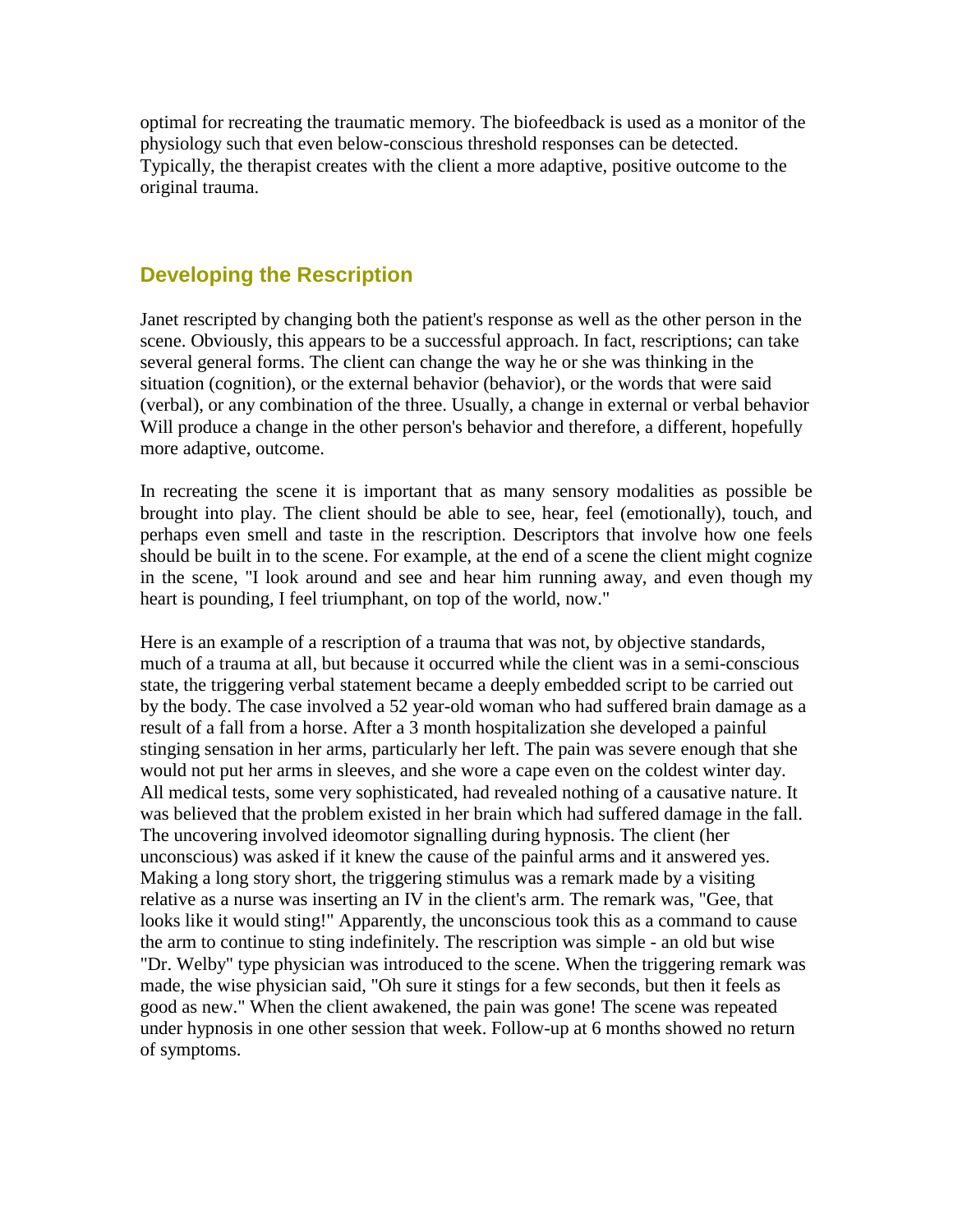optimal for recreating the traumatic memory. The biofeedback is used as a monitor of the physiology such that even below-conscious threshold responses can be detected. Typically, the therapist creates with the client a more adaptive, positive outcome to the original trauma.

### **Developing the Rescription**

Janet rescripted by changing both the patient's response as well as the other person in the scene. Obviously, this appears to be a successful approach. In fact, rescriptions; can take several general forms. The client can change the way he or she was thinking in the situation (cognition), or the external behavior (behavior), or the words that were said (verbal), or any combination of the three. Usually, a change in external or verbal behavior Will produce a change in the other person's behavior and therefore, a different, hopefully more adaptive, outcome.

In recreating the scene it is important that as many sensory modalities as possible be brought into play. The client should be able to see, hear, feel (emotionally), touch, and perhaps even smell and taste in the rescription. Descriptors that involve how one feels should be built in to the scene. For example, at the end of a scene the client might cognize in the scene, "I look around and see and hear him running away, and even though my heart is pounding, I feel triumphant, on top of the world, now."

Here is an example of a rescription of a trauma that was not, by objective standards, much of a trauma at all, but because it occurred while the client was in a semi-conscious state, the triggering verbal statement became a deeply embedded script to be carried out by the body. The case involved a 52 year-old woman who had suffered brain damage as a result of a fall from a horse. After a 3 month hospitalization she developed a painful stinging sensation in her arms, particularly her left. The pain was severe enough that she would not put her arms in sleeves, and she wore a cape even on the coldest winter day. All medical tests, some very sophisticated, had revealed nothing of a causative nature. It was believed that the problem existed in her brain which had suffered damage in the fall. The uncovering involved ideomotor signalling during hypnosis. The client (her unconscious) was asked if it knew the cause of the painful arms and it answered yes. Making a long story short, the triggering stimulus was a remark made by a visiting relative as a nurse was inserting an IV in the client's arm. The remark was, "Gee, that looks like it would sting!" Apparently, the unconscious took this as a command to cause the arm to continue to sting indefinitely. The rescription was simple - an old but wise "Dr. Welby" type physician was introduced to the scene. When the triggering remark was made, the wise physician said, "Oh sure it stings for a few seconds, but then it feels as good as new." When the client awakened, the pain was gone! The scene was repeated under hypnosis in one other session that week. Follow-up at 6 months showed no return of symptoms.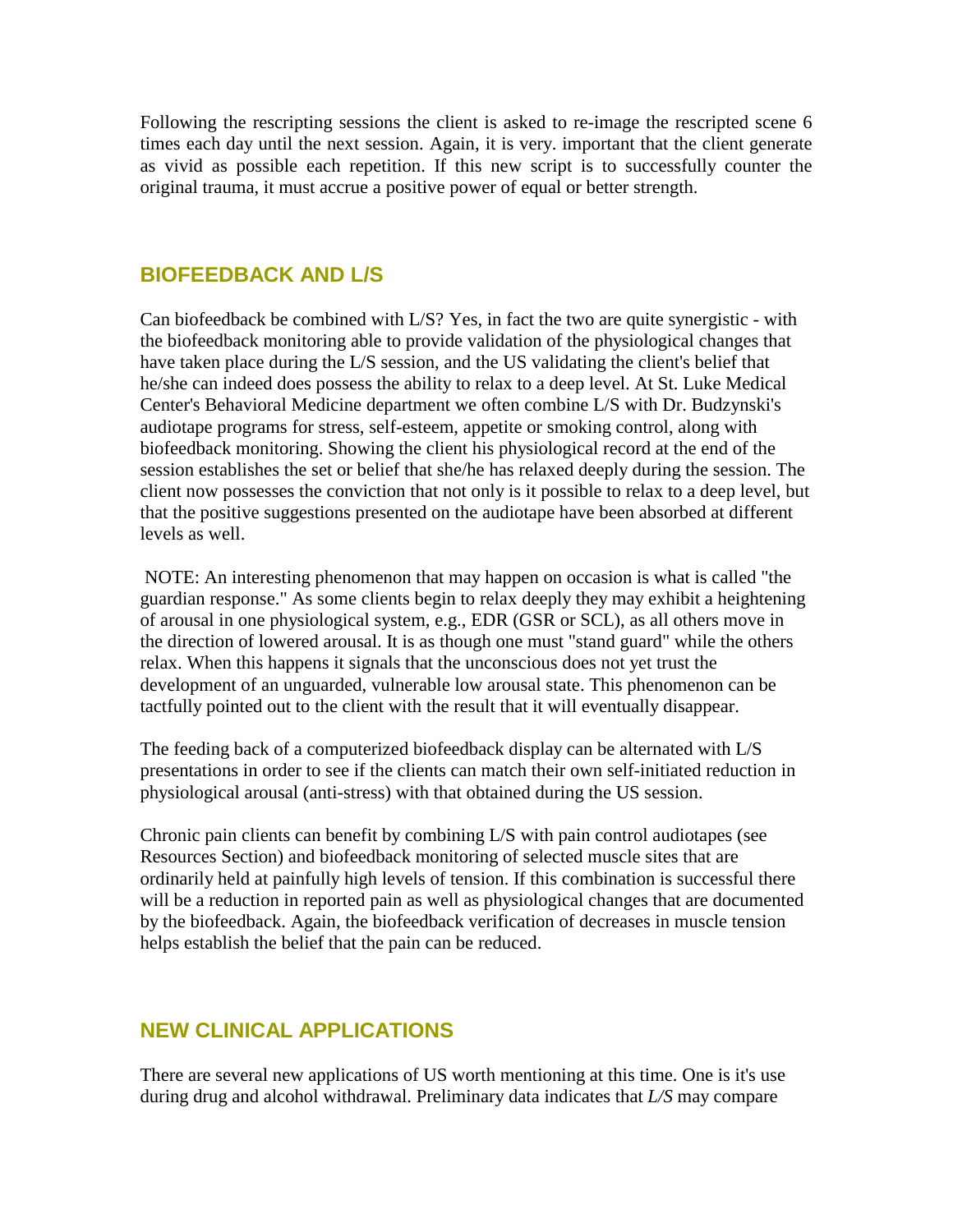Following the rescripting sessions the client is asked to re-image the rescripted scene 6 times each day until the next session. Again, it is very. important that the client generate as vivid as possible each repetition. If this new script is to successfully counter the original trauma, it must accrue a positive power of equal or better strength.

### **BIOFEEDBACK AND L/S**

Can biofeedback be combined with L/S? Yes, in fact the two are quite synergistic - with the biofeedback monitoring able to provide validation of the physiological changes that have taken place during the L/S session, and the US validating the client's belief that he/she can indeed does possess the ability to relax to a deep level. At St. Luke Medical Center's Behavioral Medicine department we often combine L/S with Dr. Budzynski's audiotape programs for stress, self-esteem, appetite or smoking control, along with biofeedback monitoring. Showing the client his physiological record at the end of the session establishes the set or belief that she/he has relaxed deeply during the session. The client now possesses the conviction that not only is it possible to relax to a deep level, but that the positive suggestions presented on the audiotape have been absorbed at different levels as well.

 NOTE: An interesting phenomenon that may happen on occasion is what is called "the guardian response." As some clients begin to relax deeply they may exhibit a heightening of arousal in one physiological system, e.g., EDR (GSR or SCL), as all others move in the direction of lowered arousal. It is as though one must "stand guard" while the others relax. When this happens it signals that the unconscious does not yet trust the development of an unguarded, vulnerable low arousal state. This phenomenon can be tactfully pointed out to the client with the result that it will eventually disappear.

The feeding back of a computerized biofeedback display can be alternated with L/S presentations in order to see if the clients can match their own self-initiated reduction in physiological arousal (anti-stress) with that obtained during the US session.

Chronic pain clients can benefit by combining L/S with pain control audiotapes (see Resources Section) and biofeedback monitoring of selected muscle sites that are ordinarily held at painfully high levels of tension. If this combination is successful there will be a reduction in reported pain as well as physiological changes that are documented by the biofeedback. Again, the biofeedback verification of decreases in muscle tension helps establish the belief that the pain can be reduced.

### **NEW CLINICAL APPLICATIONS**

There are several new applications of US worth mentioning at this time. One is it's use during drug and alcohol withdrawal. Preliminary data indicates that *L/S* may compare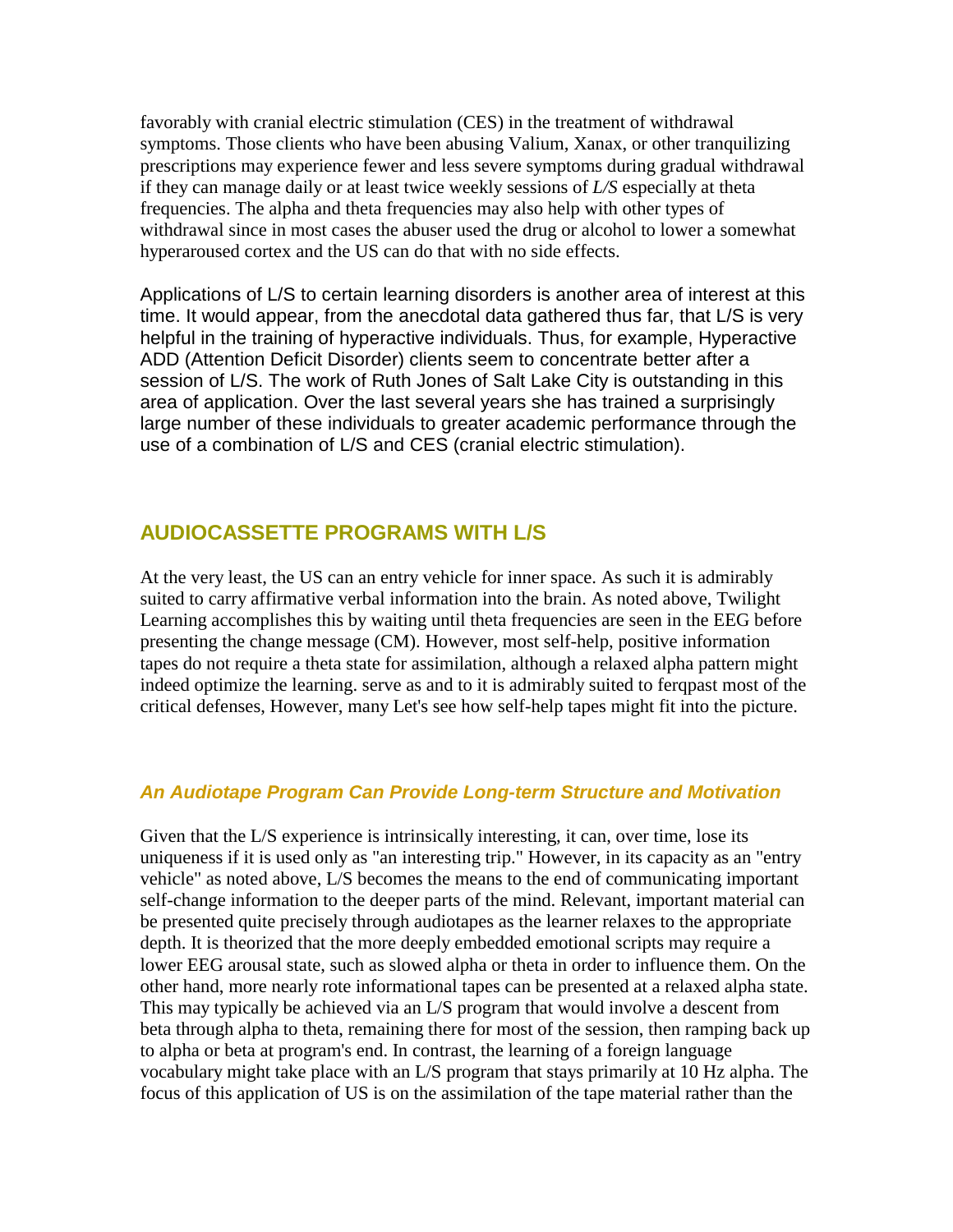favorably with cranial electric stimulation (CES) in the treatment of withdrawal symptoms. Those clients who have been abusing Valium, Xanax, or other tranquilizing prescriptions may experience fewer and less severe symptoms during gradual withdrawal if they can manage daily or at least twice weekly sessions of *L/S* especially at theta frequencies. The alpha and theta frequencies may also help with other types of withdrawal since in most cases the abuser used the drug or alcohol to lower a somewhat hyperaroused cortex and the US can do that with no side effects.

Applications of L/S to certain learning disorders is another area of interest at this time. It would appear, from the anecdotal data gathered thus far, that L/S is very helpful in the training of hyperactive individuals. Thus, for example, Hyperactive ADD (Attention Deficit Disorder) clients seem to concentrate better after a session of L/S. The work of Ruth Jones of Salt Lake City is outstanding in this area of application. Over the last several years she has trained a surprisingly large number of these individuals to greater academic performance through the use of a combination of L/S and CES (cranial electric stimulation).

### **AUDIOCASSETTE PROGRAMS WITH L/S**

At the very least, the US can an entry vehicle for inner space. As such it is admirably suited to carry affirmative verbal information into the brain. As noted above, Twilight Learning accomplishes this by waiting until theta frequencies are seen in the EEG before presenting the change message (CM). However, most self-help, positive information tapes do not require a theta state for assimilation, although a relaxed alpha pattern might indeed optimize the learning. serve as and to it is admirably suited to ferqpast most of the critical defenses, However, many Let's see how self-help tapes might fit into the picture.

#### *An Audiotape Program Can Provide Long-term Structure and Motivation*

Given that the L/S experience is intrinsically interesting, it can, over time, lose its uniqueness if it is used only as "an interesting trip." However, in its capacity as an "entry vehicle" as noted above, L/S becomes the means to the end of communicating important self-change information to the deeper parts of the mind. Relevant, important material can be presented quite precisely through audiotapes as the learner relaxes to the appropriate depth. It is theorized that the more deeply embedded emotional scripts may require a lower EEG arousal state, such as slowed alpha or theta in order to influence them. On the other hand, more nearly rote informational tapes can be presented at a relaxed alpha state. This may typically be achieved via an L/S program that would involve a descent from beta through alpha to theta, remaining there for most of the session, then ramping back up to alpha or beta at program's end. In contrast, the learning of a foreign language vocabulary might take place with an L/S program that stays primarily at 10 Hz alpha. The focus of this application of US is on the assimilation of the tape material rather than the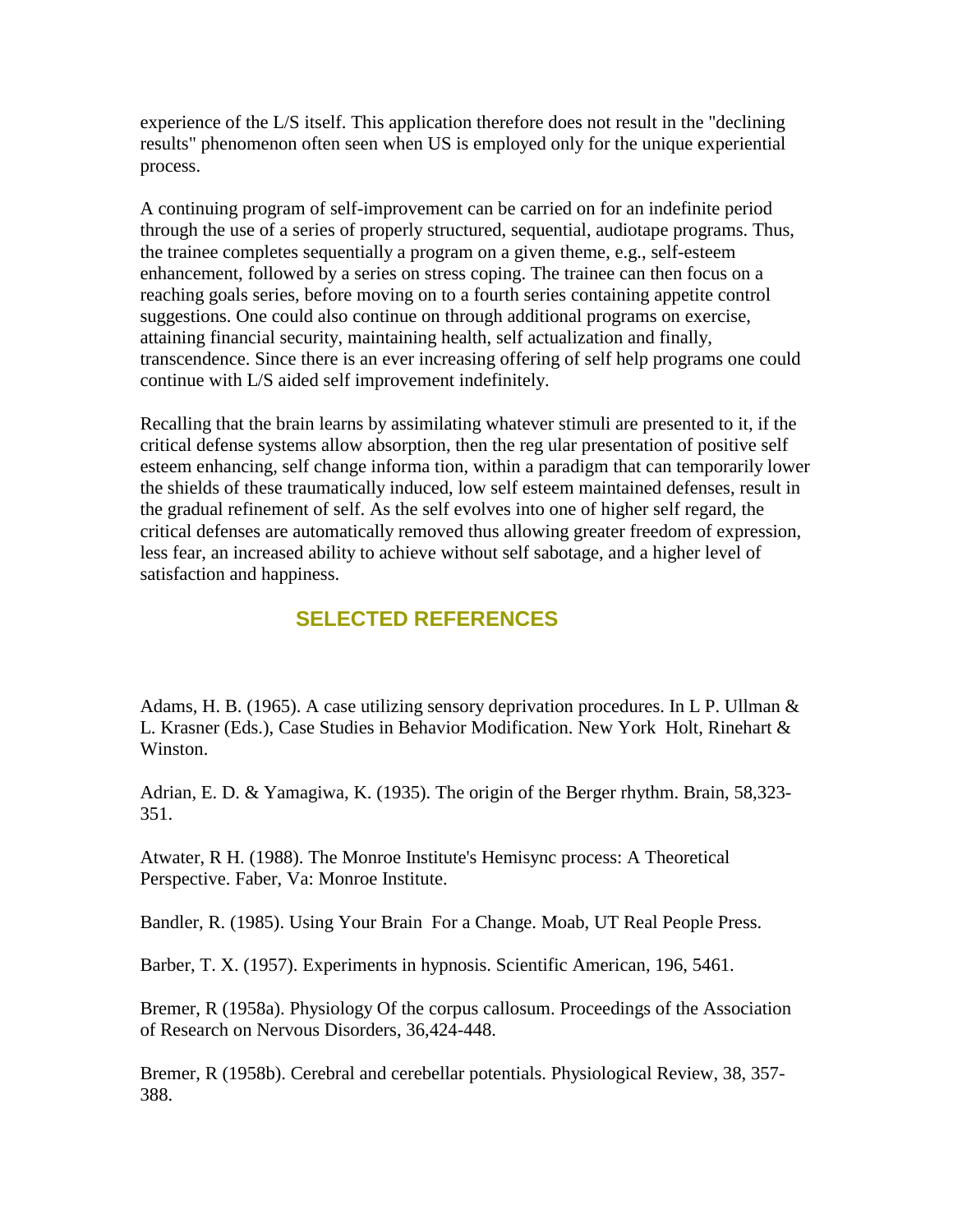experience of the L/S itself. This application therefore does not result in the "declining results" phenomenon often seen when US is employed only for the unique experiential process.

A continuing program of self-improvement can be carried on for an indefinite period through the use of a series of properly structured, sequential, audiotape programs. Thus, the trainee completes sequentially a program on a given theme, e.g., self-esteem enhancement, followed by a series on stress coping. The trainee can then focus on a reaching goals series, before moving on to a fourth series containing appetite control suggestions. One could also continue on through additional programs on exercise, attaining financial security, maintaining health, self actualization and finally, transcendence. Since there is an ever increasing offering of self help programs one could continue with L/S aided self improvement indefinitely.

Recalling that the brain learns by assimilating whatever stimuli are presented to it, if the critical defense systems allow absorption, then the reg ular presentation of positive self esteem enhancing, self change informa tion, within a paradigm that can temporarily lower the shields of these traumatically induced, low self esteem maintained defenses, result in the gradual refinement of self. As the self evolves into one of higher self regard, the critical defenses are automatically removed thus allowing greater freedom of expression, less fear, an increased ability to achieve without self sabotage, and a higher level of satisfaction and happiness.

## **SELECTED REFERENCES**

Adams, H. B. (1965). A case utilizing sensory deprivation procedures. In L P. Ullman & L. Krasner (Eds.), Case Studies in Behavior Modification. New York Holt, Rinehart & Winston.

Adrian, E. D. & Yamagiwa, K. (1935). The origin of the Berger rhythm. Brain, 58,323- 351.

Atwater, R H. (1988). The Monroe Institute's Hemisync process: A Theoretical Perspective. Faber, Va: Monroe Institute.

Bandler, R. (1985). Using Your Brain For a Change. Moab, UT Real People Press.

Barber, T. X. (1957). Experiments in hypnosis. Scientific American, 196, 5461.

Bremer, R (1958a). Physiology Of the corpus callosum. Proceedings of the Association of Research on Nervous Disorders, 36,424-448.

Bremer, R (1958b). Cerebral and cerebellar potentials. Physiological Review, 38, 357- 388.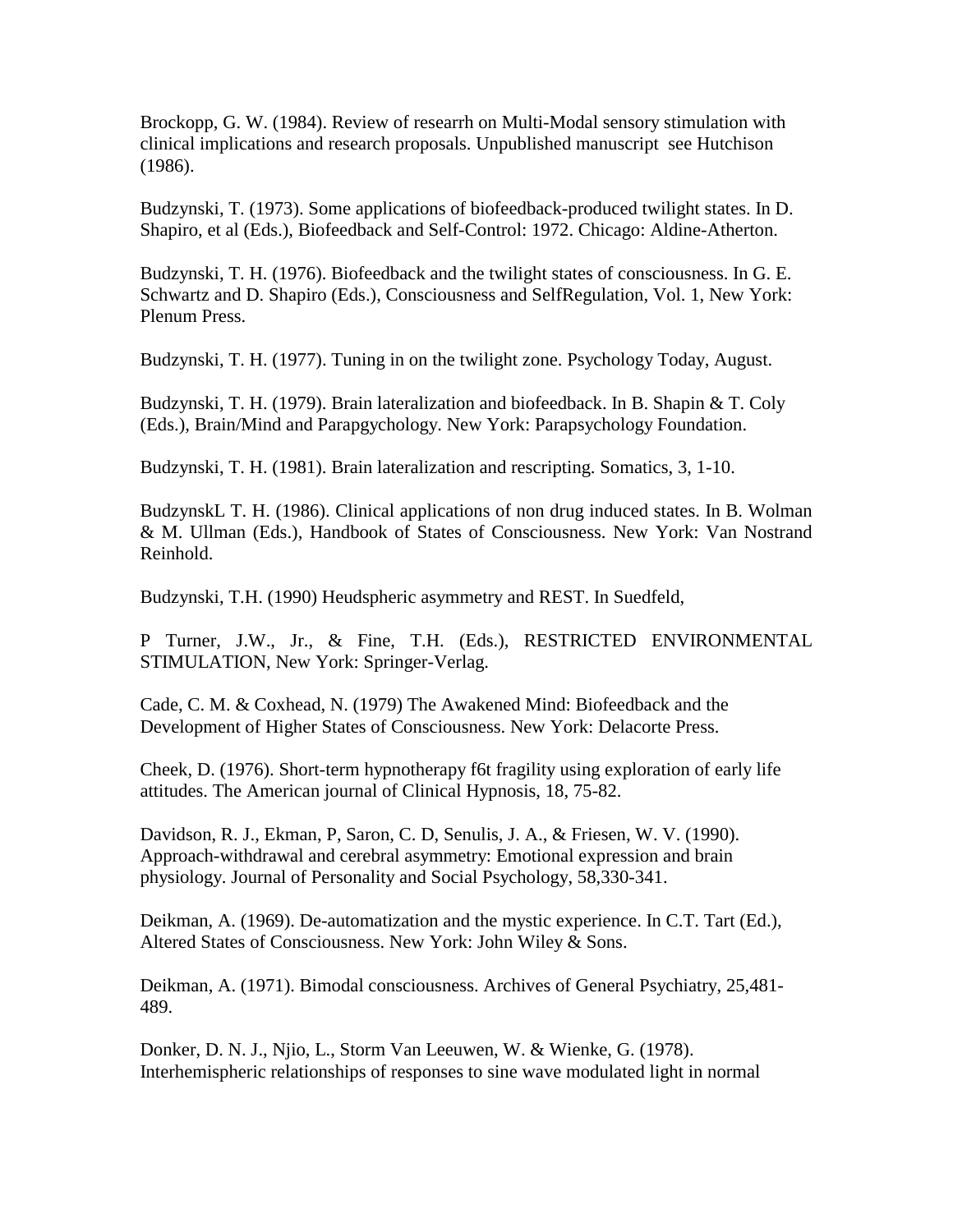Brockopp, G. W. (1984). Review of researrh on Multi-Modal sensory stimulation with clinical implications and research proposals. Unpublished manuscript see Hutchison (1986).

Budzynski, T. (1973). Some applications of biofeedback-produced twilight states. In D. Shapiro, et al (Eds.), Biofeedback and Self-Control: 1972. Chicago: Aldine-Atherton.

Budzynski, T. H. (1976). Biofeedback and the twilight states of consciousness. In G. E. Schwartz and D. Shapiro (Eds.), Consciousness and SelfRegulation, Vol. 1, New York: Plenum Press.

Budzynski, T. H. (1977). Tuning in on the twilight zone. Psychology Today, August.

Budzynski, T. H. (1979). Brain lateralization and biofeedback. In B. Shapin & T. Coly (Eds.), Brain/Mind and Parapgychology. New York: Parapsychology Foundation.

Budzynski, T. H. (1981). Brain lateralization and rescripting. Somatics, 3, 1-10.

BudzynskL T. H. (1986). Clinical applications of non drug induced states. In B. Wolman & M. Ullman (Eds.), Handbook of States of Consciousness. New York: Van Nostrand Reinhold.

Budzynski, T.H. (1990) Heudspheric asymmetry and REST. In Suedfeld,

P Turner, J.W., Jr., & Fine, T.H. (Eds.), RESTRICTED ENVIRONMENTAL STIMULATION, New York: Springer-Verlag.

Cade, C. M. & Coxhead, N. (1979) The Awakened Mind: Biofeedback and the Development of Higher States of Consciousness. New York: Delacorte Press.

Cheek, D. (1976). Short-term hypnotherapy f6t fragility using exploration of early life attitudes. The American journal of Clinical Hypnosis, 18, 75-82.

Davidson, R. J., Ekman, P, Saron, C. D, Senulis, J. A., & Friesen, W. V. (1990). Approach-withdrawal and cerebral asymmetry: Emotional expression and brain physiology. Journal of Personality and Social Psychology, 58,330-341.

Deikman, A. (1969). De-automatization and the mystic experience. In C.T. Tart (Ed.), Altered States of Consciousness. New York: John Wiley & Sons.

Deikman, A. (1971). Bimodal consciousness. Archives of General Psychiatry, 25,481- 489.

Donker, D. N. J., Njio, L., Storm Van Leeuwen, W. & Wienke, G. (1978). Interhemispheric relationships of responses to sine wave modulated light in normal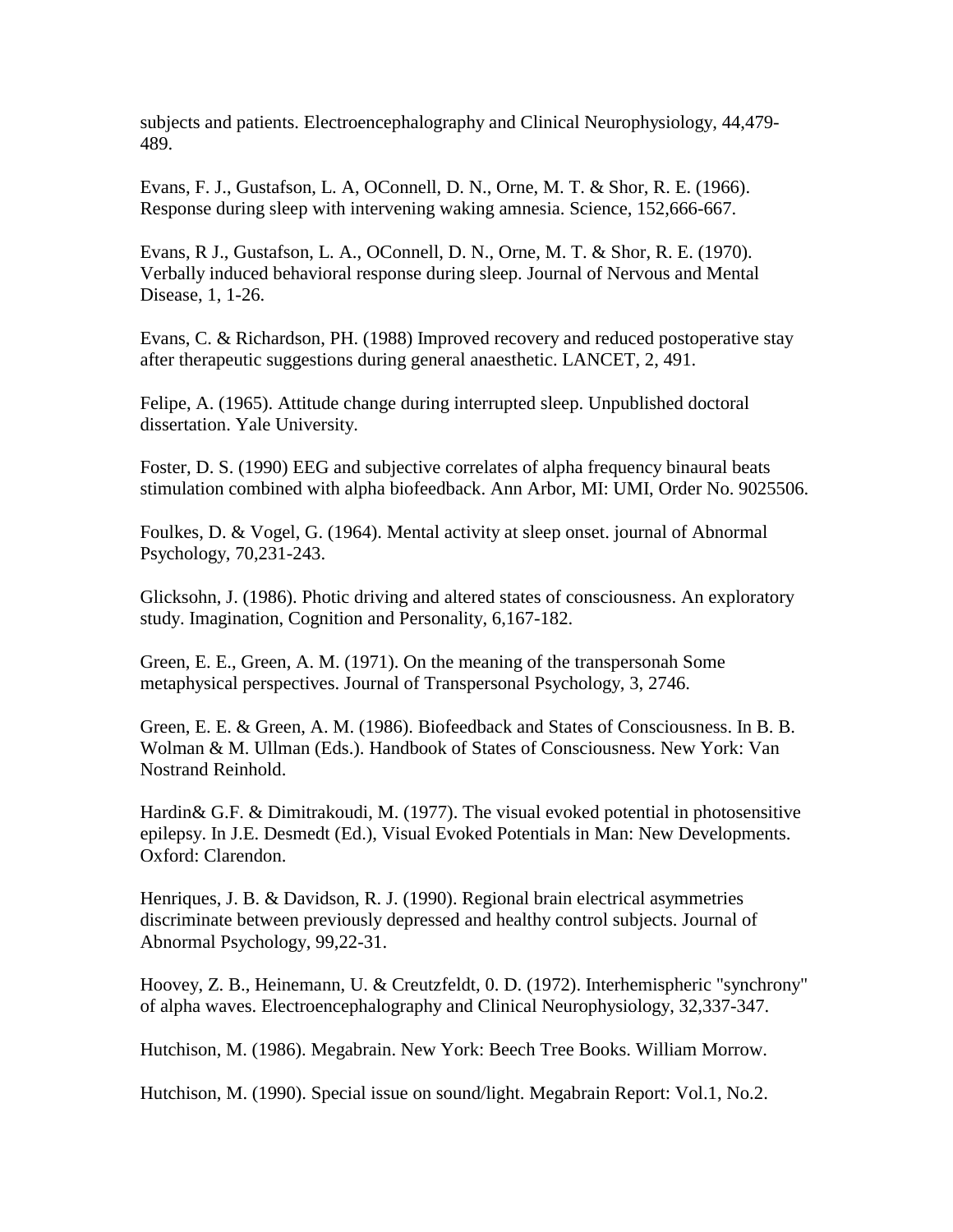subjects and patients. Electroencephalography and Clinical Neurophysiology, 44,479- 489.

Evans, F. J., Gustafson, L. A, OConnell, D. N., Orne, M. T. & Shor, R. E. (1966). Response during sleep with intervening waking amnesia. Science, 152,666-667.

Evans, R J., Gustafson, L. A., OConnell, D. N., Orne, M. T. & Shor, R. E. (1970). Verbally induced behavioral response during sleep. Journal of Nervous and Mental Disease, 1, 1-26.

Evans, C. & Richardson, PH. (1988) Improved recovery and reduced postoperative stay after therapeutic suggestions during general anaesthetic. LANCET, 2, 491.

Felipe, A. (1965). Attitude change during interrupted sleep. Unpublished doctoral dissertation. Yale University.

Foster, D. S. (1990) EEG and subjective correlates of alpha frequency binaural beats stimulation combined with alpha biofeedback. Ann Arbor, MI: UMI, Order No. 9025506.

Foulkes, D. & Vogel, G. (1964). Mental activity at sleep onset. journal of Abnormal Psychology, 70,231-243.

Glicksohn, J. (1986). Photic driving and altered states of consciousness. An exploratory study. Imagination, Cognition and Personality, 6,167-182.

Green, E. E., Green, A. M. (1971). On the meaning of the transpersonah Some metaphysical perspectives. Journal of Transpersonal Psychology, 3, 2746.

Green, E. E. & Green, A. M. (1986). Biofeedback and States of Consciousness. In B. B. Wolman & M. Ullman (Eds.). Handbook of States of Consciousness. New York: Van Nostrand Reinhold.

Hardin& G.F. & Dimitrakoudi, M. (1977). The visual evoked potential in photosensitive epilepsy. In J.E. Desmedt (Ed.), Visual Evoked Potentials in Man: New Developments. Oxford: Clarendon.

Henriques, J. B. & Davidson, R. J. (1990). Regional brain electrical asymmetries discriminate between previously depressed and healthy control subjects. Journal of Abnormal Psychology, 99,22-31.

Hoovey, Z. B., Heinemann, U. & Creutzfeldt, 0. D. (1972). Interhemispheric "synchrony" of alpha waves. Electroencephalography and Clinical Neurophysiology, 32,337-347.

Hutchison, M. (1986). Megabrain. New York: Beech Tree Books. William Morrow.

Hutchison, M. (1990). Special issue on sound/light. Megabrain Report: Vol.1, No.2.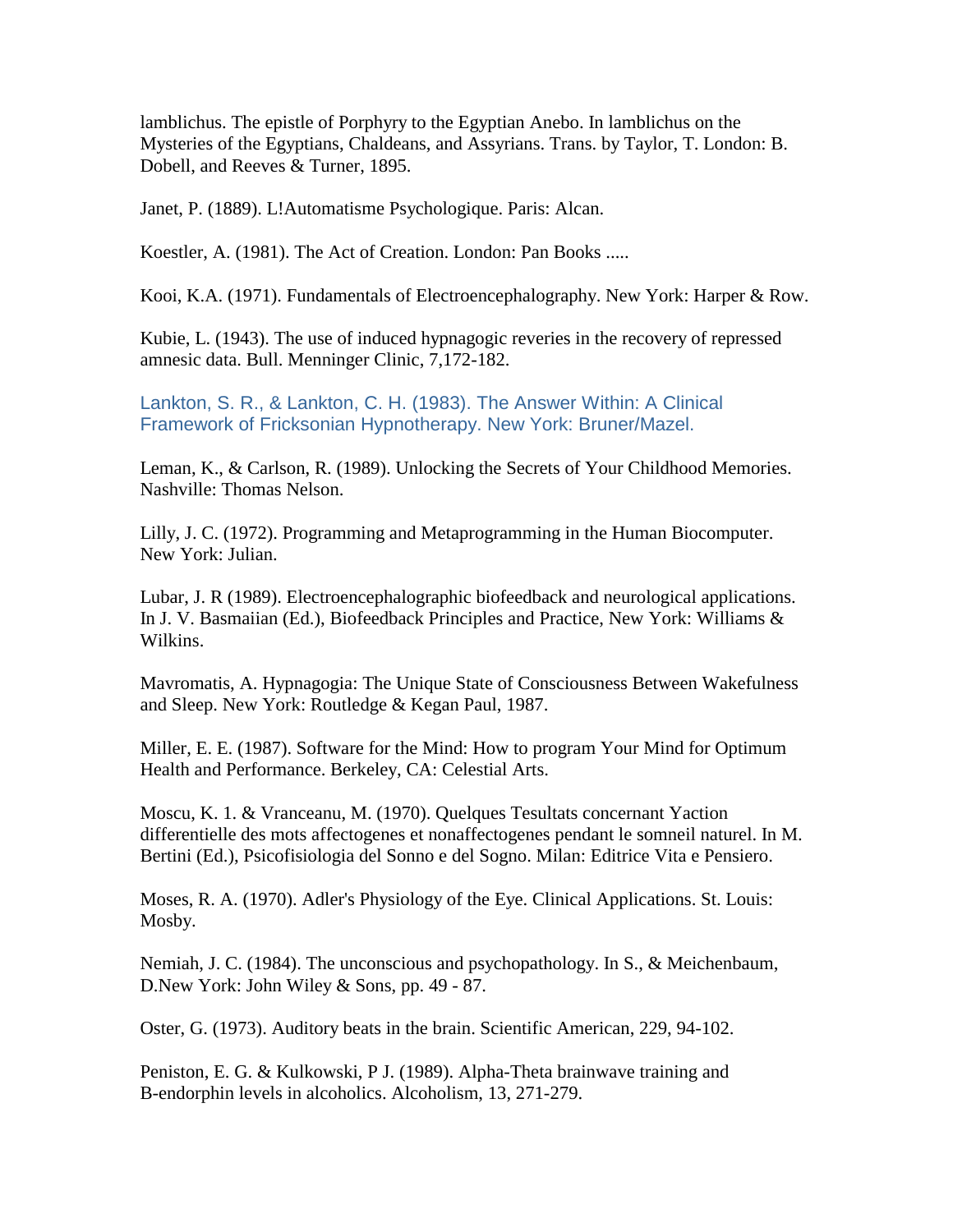lamblichus. The epistle of Porphyry to the Egyptian Anebo. In lamblichus on the Mysteries of the Egyptians, Chaldeans, and Assyrians. Trans. by Taylor, T. London: B. Dobell, and Reeves & Turner, 1895.

Janet, P. (1889). L!Automatisme Psychologique. Paris: Alcan.

Koestler, A. (1981). The Act of Creation. London: Pan Books .....

Kooi, K.A. (1971). Fundamentals of Electroencephalography. New York: Harper & Row.

Kubie, L. (1943). The use of induced hypnagogic reveries in the recovery of repressed amnesic data. Bull. Menninger Clinic, 7,172-182.

Lankton, S. R., & Lankton, C. H. (1983). The Answer Within: A Clinical Framework of Fricksonian Hypnotherapy. New York: Bruner/Mazel.

Leman, K., & Carlson, R. (1989). Unlocking the Secrets of Your Childhood Memories. Nashville: Thomas Nelson.

Lilly, J. C. (1972). Programming and Metaprogramming in the Human Biocomputer. New York: Julian.

Lubar, J. R (1989). Electroencephalographic biofeedback and neurological applications. In J. V. Basmaiian (Ed.), Biofeedback Principles and Practice, New York: Williams & Wilkins.

Mavromatis, A. Hypnagogia: The Unique State of Consciousness Between Wakefulness and Sleep. New York: Routledge & Kegan Paul, 1987.

Miller, E. E. (1987). Software for the Mind: How to program Your Mind for Optimum Health and Performance. Berkeley, CA: Celestial Arts.

Moscu, K. 1. & Vranceanu, M. (1970). Quelques Tesultats concernant Yaction differentielle des mots affectogenes et nonaffectogenes pendant le somneil naturel. In M. Bertini (Ed.), Psicofisiologia del Sonno e del Sogno. Milan: Editrice Vita e Pensiero.

Moses, R. A. (1970). Adler's Physiology of the Eye. Clinical Applications. St. Louis: Mosby.

Nemiah, J. C. (1984). The unconscious and psychopathology. In S., & Meichenbaum, D.New York: John Wiley & Sons, pp. 49 - 87.

Oster, G. (1973). Auditory beats in the brain. Scientific American, 229, 94-102.

Peniston, E. G. & Kulkowski, P J. (1989). Alpha-Theta brainwave training and B-endorphin levels in alcoholics. Alcoholism, 13, 271-279.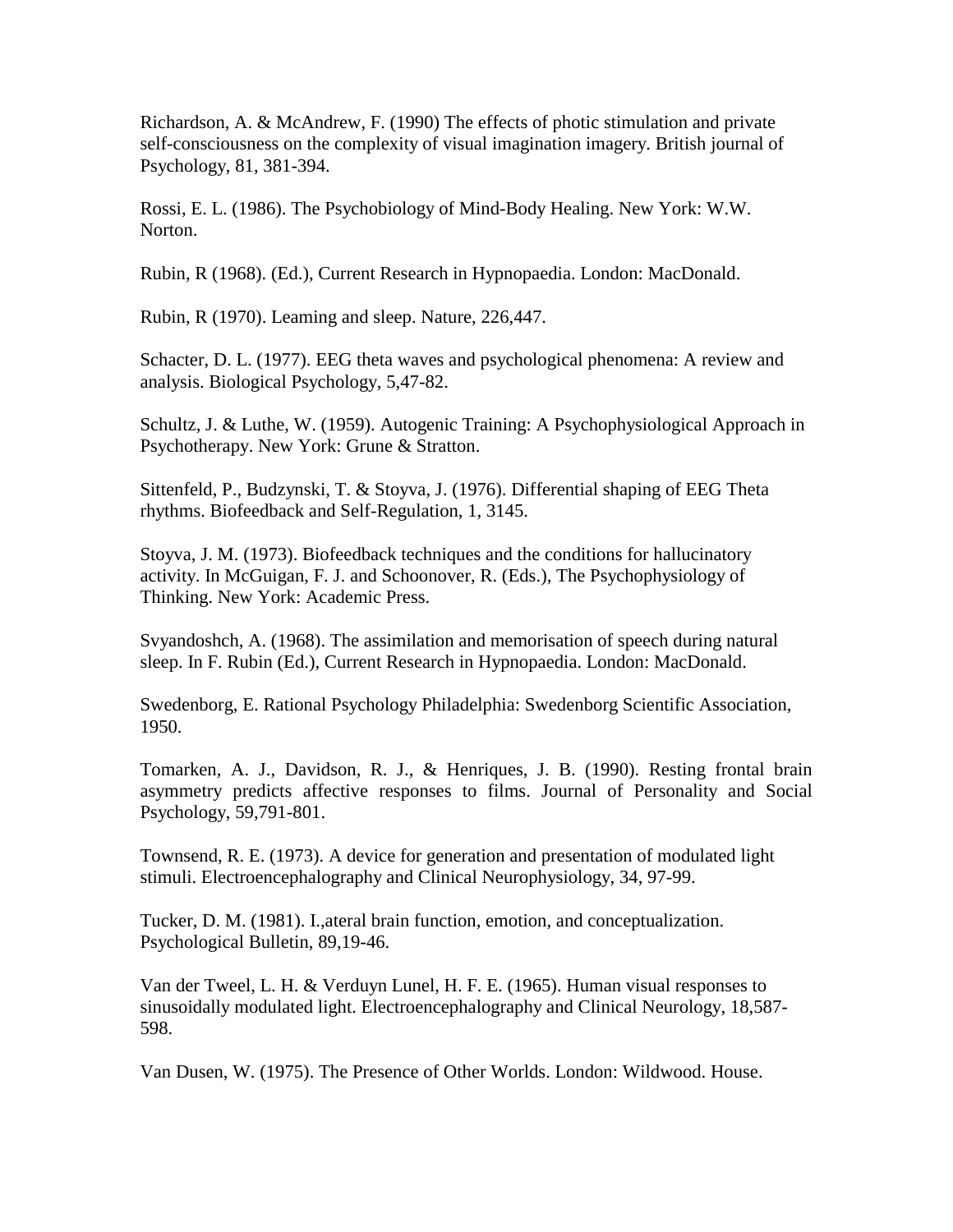Richardson, A. & McAndrew, F. (1990) The effects of photic stimulation and private self-consciousness on the complexity of visual imagination imagery. British journal of Psychology, 81, 381-394.

Rossi, E. L. (1986). The Psychobiology of Mind-Body Healing. New York: W.W. Norton.

Rubin, R (1968). (Ed.), Current Research in Hypnopaedia. London: MacDonald.

Rubin, R (1970). Leaming and sleep. Nature, 226,447.

Schacter, D. L. (1977). EEG theta waves and psychological phenomena: A review and analysis. Biological Psychology, 5,47-82.

Schultz, J. & Luthe, W. (1959). Autogenic Training: A Psychophysiological Approach in Psychotherapy. New York: Grune & Stratton.

Sittenfeld, P., Budzynski, T. & Stoyva, J. (1976). Differential shaping of EEG Theta rhythms. Biofeedback and Self-Regulation, 1, 3145.

Stoyva, J. M. (1973). Biofeedback techniques and the conditions for hallucinatory activity. In McGuigan, F. J. and Schoonover, R. (Eds.), The Psychophysiology of Thinking. New York: Academic Press.

Svyandoshch, A. (1968). The assimilation and memorisation of speech during natural sleep. In F. Rubin (Ed.), Current Research in Hypnopaedia. London: MacDonald.

Swedenborg, E. Rational Psychology Philadelphia: Swedenborg Scientific Association, 1950.

Tomarken, A. J., Davidson, R. J., & Henriques, J. B. (1990). Resting frontal brain asymmetry predicts affective responses to films. Journal of Personality and Social Psychology, 59,791-801.

Townsend, R. E. (1973). A device for generation and presentation of modulated light stimuli. Electroencephalography and Clinical Neurophysiology, 34, 97-99.

Tucker, D. M. (1981). I.,ateral brain function, emotion, and conceptualization. Psychological Bulletin, 89,19-46.

Van der Tweel, L. H. & Verduyn Lunel, H. F. E. (1965). Human visual responses to sinusoidally modulated light. Electroencephalography and Clinical Neurology, 18,587- 598.

Van Dusen, W. (1975). The Presence of Other Worlds. London: Wildwood. House.